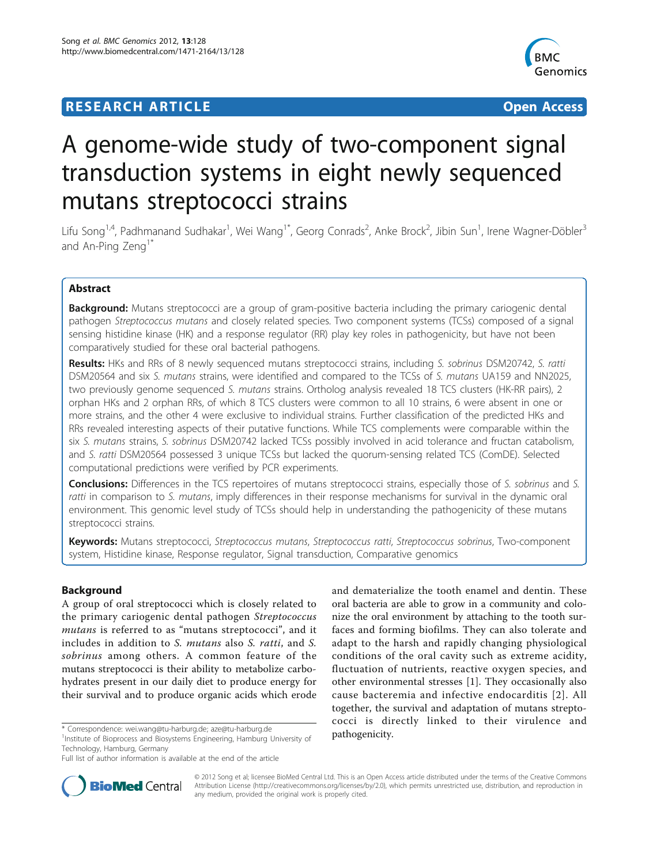## **RESEARCH ARTICLE External Structure Control Control Control Control Control Control Control Control Control Control Control Control Control Control Control Control Control Control Control Control Control Control Control**



# A genome-wide study of two-component signal transduction systems in eight newly sequenced mutans streptococci strains

Lifu Song<sup>1,4</sup>, Padhmanand Sudhakar<sup>1</sup>, Wei Wang<sup>1\*</sup>, Georg Conrads<sup>2</sup>, Anke Brock<sup>2</sup>, Jibin Sun<sup>1</sup>, Irene Wagner-Döbler<sup>3</sup> and An-Ping Zeng<sup>1</sup>

## Abstract

**Background:** Mutans streptococci are a group of gram-positive bacteria including the primary cariogenic dental pathogen Streptococcus mutans and closely related species. Two component systems (TCSs) composed of a signal sensing histidine kinase (HK) and a response regulator (RR) play key roles in pathogenicity, but have not been comparatively studied for these oral bacterial pathogens.

Results: HKs and RRs of 8 newly sequenced mutans streptococci strains, including S. sobrinus DSM20742, S. ratti DSM20564 and six S. mutans strains, were identified and compared to the TCSs of S. mutans UA159 and NN2025, two previously genome sequenced S. mutans strains. Ortholog analysis revealed 18 TCS clusters (HK-RR pairs), 2 orphan HKs and 2 orphan RRs, of which 8 TCS clusters were common to all 10 strains, 6 were absent in one or more strains, and the other 4 were exclusive to individual strains. Further classification of the predicted HKs and RRs revealed interesting aspects of their putative functions. While TCS complements were comparable within the six S. mutans strains, S. sobrinus DSM20742 lacked TCSs possibly involved in acid tolerance and fructan catabolism, and S. ratti DSM20564 possessed 3 unique TCSs but lacked the quorum-sensing related TCS (ComDE). Selected computational predictions were verified by PCR experiments.

**Conclusions:** Differences in the TCS repertoires of mutans streptococci strains, especially those of S. sobrinus and S. ratti in comparison to S. mutans, imply differences in their response mechanisms for survival in the dynamic oral environment. This genomic level study of TCSs should help in understanding the pathogenicity of these mutans streptococci strains.

Keywords: Mutans streptococci, Streptococcus mutans, Streptococcus ratti, Streptococcus sobrinus, Two-component system, Histidine kinase, Response regulator, Signal transduction, Comparative genomics

## **Background**

A group of oral streptococci which is closely related to the primary cariogenic dental pathogen Streptococcus mutans is referred to as "mutans streptococci", and it includes in addition to S. mutans also S. ratti, and S. sobrinus among others. A common feature of the mutans streptococci is their ability to metabolize carbohydrates present in our daily diet to produce energy for their survival and to produce organic acids which erode

\* Correspondence: [wei.wang@tu-harburg.de;](mailto:wei.wang@tu-harburg.de) [aze@tu-harburg.de](mailto:aze@tu-harburg.de)<br><sup>1</sup> loctitute of Rioprocess and Rioprotoms Engineering. Hamburg. University of **pathogenicity.** 

<sup>1</sup>Institute of Bioprocess and Biosystems Engineering, Hamburg University of Technology, Hamburg, Germany

and dematerialize the tooth enamel and dentin. These oral bacteria are able to grow in a community and colonize the oral environment by attaching to the tooth surfaces and forming biofilms. They can also tolerate and adapt to the harsh and rapidly changing physiological conditions of the oral cavity such as extreme acidity, fluctuation of nutrients, reactive oxygen species, and other environmental stresses [\[1](#page-17-0)]. They occasionally also cause bacteremia and infective endocarditis [[2\]](#page-17-0). All together, the survival and adaptation of mutans streptococci is directly linked to their virulence and



© 2012 Song et al; licensee BioMed Central Ltd. This is an Open Access article distributed under the terms of the Creative Commons Attribution License [\(http://creativecommons.org/licenses/by/2.0](http://creativecommons.org/licenses/by/2.0)), which permits unrestricted use, distribution, and reproduction in any medium, provided the original work is properly cited.

Full list of author information is available at the end of the article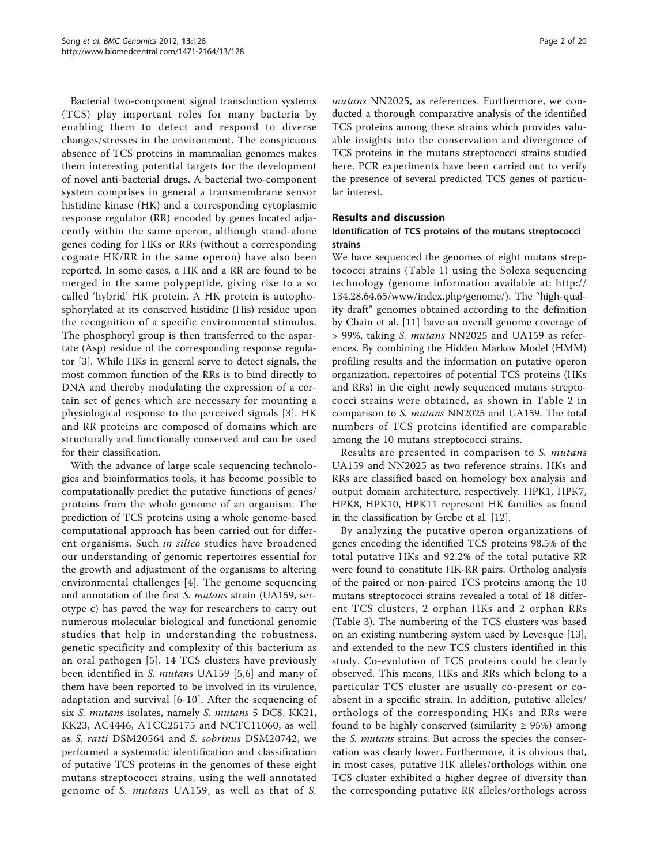Bacterial two-component signal transduction systems (TCS) play important roles for many bacteria by enabling them to detect and respond to diverse changes/stresses in the environment. The conspicuous absence of TCS proteins in mammalian genomes makes them interesting potential targets for the development of novel anti-bacterial drugs. A bacterial two-component system comprises in general a transmembrane sensor histidine kinase (HK) and a corresponding cytoplasmic response regulator (RR) encoded by genes located adjacently within the same operon, although stand-alone genes coding for HKs or RRs (without a corresponding cognate HK/RR in the same operon) have also been reported. In some cases, a HK and a RR are found to be merged in the same polypeptide, giving rise to a so called 'hybrid' HK protein. A HK protein is autophosphorylated at its conserved histidine (His) residue upon the recognition of a specific environmental stimulus. The phosphoryl group is then transferred to the aspartate (Asp) residue of the corresponding response regulator [\[3\]](#page-17-0). While HKs in general serve to detect signals, the most common function of the RRs is to bind directly to DNA and thereby modulating the expression of a certain set of genes which are necessary for mounting a physiological response to the perceived signals [\[3](#page-17-0)]. HK and RR proteins are composed of domains which are structurally and functionally conserved and can be used for their classification.

With the advance of large scale sequencing technologies and bioinformatics tools, it has become possible to computationally predict the putative functions of genes/ proteins from the whole genome of an organism. The prediction of TCS proteins using a whole genome-based computational approach has been carried out for different organisms. Such in silico studies have broadened our understanding of genomic repertoires essential for the growth and adjustment of the organisms to altering environmental challenges [[4](#page-17-0)]. The genome sequencing and annotation of the first S. mutans strain (UA159, serotype c) has paved the way for researchers to carry out numerous molecular biological and functional genomic studies that help in understanding the robustness, genetic specificity and complexity of this bacterium as an oral pathogen [[5](#page-17-0)]. 14 TCS clusters have previously been identified in S. mutans UA159 [[5,6](#page-17-0)] and many of them have been reported to be involved in its virulence, adaptation and survival [\[6](#page-17-0)-[10](#page-17-0)]. After the sequencing of six S. mutans isolates, namely S. mutans 5 DC8, KK21, KK23, AC4446, ATCC25175 and NCTC11060, as well as S. ratti DSM20564 and S. sobrinus DSM20742, we performed a systematic identification and classification of putative TCS proteins in the genomes of these eight mutans streptococci strains, using the well annotated genome of S. mutans UA159, as well as that of S.

mutans NN2025, as references. Furthermore, we conducted a thorough comparative analysis of the identified TCS proteins among these strains which provides valuable insights into the conservation and divergence of TCS proteins in the mutans streptococci strains studied here. PCR experiments have been carried out to verify the presence of several predicted TCS genes of particular interest.

#### Results and discussion

#### Identification of TCS proteins of the mutans streptococci strains

We have sequenced the genomes of eight mutans streptococci strains (Table [1](#page-2-0)) using the Solexa sequencing technology (genome information available at: [http://](http://134.28.64.65/www/index.php/genome/) [134.28.64.65/www/index.php/genome/\)](http://134.28.64.65/www/index.php/genome/). The "high-quality draft" genomes obtained according to the definition by Chain et al. [[11](#page-17-0)] have an overall genome coverage of > 99%, taking S. mutans NN2025 and UA159 as references. By combining the Hidden Markov Model (HMM) profiling results and the information on putative operon organization, repertoires of potential TCS proteins (HKs and RRs) in the eight newly sequenced mutans streptococci strains were obtained, as shown in Table [2](#page-2-0) in comparison to S. mutans NN2025 and UA159. The total numbers of TCS proteins identified are comparable among the 10 mutans streptococci strains.

Results are presented in comparison to S. mutans UA159 and NN2025 as two reference strains. HKs and RRs are classified based on homology box analysis and output domain architecture, respectively. HPK1, HPK7, HPK8, HPK10, HPK11 represent HK families as found in the classification by Grebe et al. [[12\]](#page-17-0).

By analyzing the putative operon organizations of genes encoding the identified TCS proteins 98.5% of the total putative HKs and 92.2% of the total putative RR were found to constitute HK-RR pairs. Ortholog analysis of the paired or non-paired TCS proteins among the 10 mutans streptococci strains revealed a total of 18 different TCS clusters, 2 orphan HKs and 2 orphan RRs (Table [3\)](#page-3-0). The numbering of the TCS clusters was based on an existing numbering system used by Levesque [[13](#page-17-0)], and extended to the new TCS clusters identified in this study. Co-evolution of TCS proteins could be clearly observed. This means, HKs and RRs which belong to a particular TCS cluster are usually co-present or coabsent in a specific strain. In addition, putative alleles/ orthologs of the corresponding HKs and RRs were found to be highly conserved (similarity  $\geq$  95%) among the *S. mutans* strains. But across the species the conservation was clearly lower. Furthermore, it is obvious that, in most cases, putative HK alleles/orthologs within one TCS cluster exhibited a higher degree of diversity than the corresponding putative RR alleles/orthologs across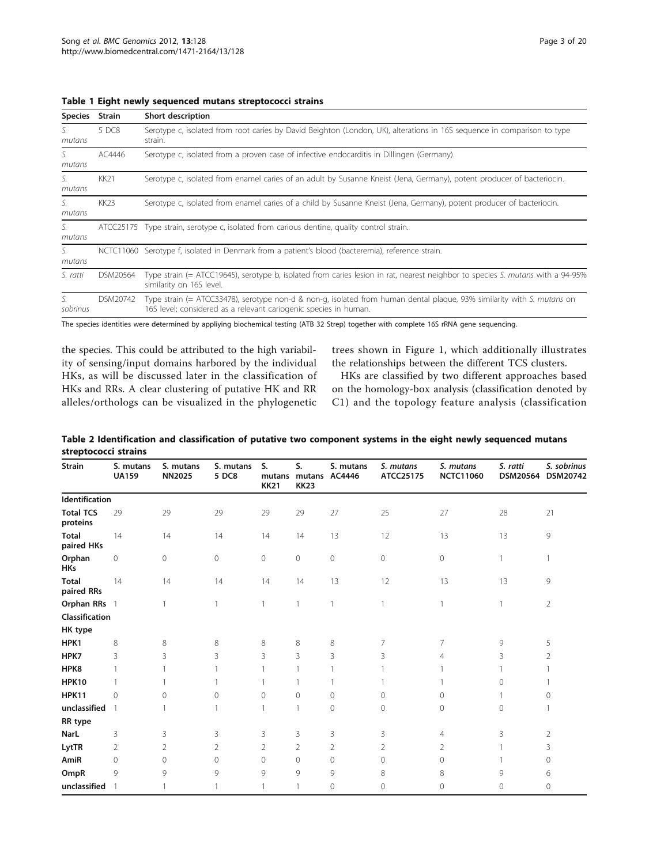| <b>Species</b>          | <b>Strain</b> | Short description                                                                                                                                                                          |
|-------------------------|---------------|--------------------------------------------------------------------------------------------------------------------------------------------------------------------------------------------|
| S.<br>mutans            | 5 DC8         | Serotype c, isolated from root caries by David Beighton (London, UK), alterations in 16S seguence in comparison to type<br>strain.                                                         |
| S.<br>mutans            | AC4446        | Serotype c, isolated from a proven case of infective endocarditis in Dillingen (Germany).                                                                                                  |
| S.<br>mutans            | <b>KK21</b>   | Serotype c, isolated from enamel caries of an adult by Susanne Kneist (Jena, Germany), potent producer of bacteriocin.                                                                     |
| S.<br>mutans            | <b>KK23</b>   | Serotype c, isolated from enamel caries of a child by Susanne Kneist (Jena, Germany), potent producer of bacteriocin.                                                                      |
| S.<br>mutans            |               | ATCC25175 Type strain, serotype c, isolated from carious dentine, quality control strain.                                                                                                  |
| S.<br>mutans            |               | NCTC11060 Serotype f, isolated in Denmark from a patient's blood (bacteremia), reference strain.                                                                                           |
| S. ratti                | DSM20564      | Type strain (= ATCC19645), serotype b, isolated from caries lesion in rat, nearest neighbor to species S. mutans with a 94-95%<br>similarity on 16S level.                                 |
| $\varsigma$<br>sobrinus | DSM20742      | Type strain (= ATCC33478), serotype non-d & non-g, isolated from human dental plague, 93% similarity with S. mutans on<br>16S level; considered as a relevant cariogenic species in human. |

<span id="page-2-0"></span>Table 1 Eight newly sequenced mutans streptococci strains

The species identities were determined by appliying biochemical testing (ATB 32 Strep) together with complete 16S rRNA gene sequencing.

the species. This could be attributed to the high variability of sensing/input domains harbored by the individual HKs, as will be discussed later in the classification of HKs and RRs. A clear clustering of putative HK and RR alleles/orthologs can be visualized in the phylogenetic trees shown in Figure [1,](#page-5-0) which additionally illustrates the relationships between the different TCS clusters.

HKs are classified by two different approaches based on the homology-box analysis (classification denoted by C1) and the topology feature analysis (classification

| Table 2 Identification and classification of putative two component systems in the eight newly sequenced mutans |  |  |
|-----------------------------------------------------------------------------------------------------------------|--|--|
| streptococci strains                                                                                            |  |  |

| <b>Strain</b>                | S. mutans<br><b>UA159</b> | S. mutans<br><b>NN2025</b> | S. mutans<br>5 DC8 | S.<br>mutans<br><b>KK21</b> | S.<br>mutans<br><b>KK23</b> | S. mutans<br>AC4446 | S. mutans<br>ATCC25175 | S. mutans<br><b>NCTC11060</b> | S. ratti<br>DSM20564 | S. sobrinus<br>DSM20742 |
|------------------------------|---------------------------|----------------------------|--------------------|-----------------------------|-----------------------------|---------------------|------------------------|-------------------------------|----------------------|-------------------------|
| Identification               |                           |                            |                    |                             |                             |                     |                        |                               |                      |                         |
| <b>Total TCS</b><br>proteins | 29                        | 29                         | 29                 | 29                          | 29                          | 27                  | 25                     | 27                            | 28                   | 21                      |
| <b>Total</b><br>paired HKs   | 14                        | 14                         | 14                 | 14                          | 14                          | 13                  | 12                     | 13                            | 13                   | 9                       |
| Orphan<br><b>HKs</b>         | 0                         | 0                          | $\circ$            | $\circ$                     | $\mathsf{O}\xspace$         | $\mathbf 0$         | $\circ$                | 0                             | 1                    | $\mathbf{1}$            |
| <b>Total</b><br>paired RRs   | 14                        | 14                         | 14                 | 14                          | 14                          | 13                  | 12                     | 13                            | 13                   | 9                       |
| Orphan RRs                   |                           |                            | $\mathbf{1}$       |                             | $\mathbf{1}$                | $\mathbf{1}$        | 1                      | 1                             | 1                    | $\overline{2}$          |
| Classification               |                           |                            |                    |                             |                             |                     |                        |                               |                      |                         |
| HK type                      |                           |                            |                    |                             |                             |                     |                        |                               |                      |                         |
| HPK1                         | 8                         | 8                          | 8                  | 8                           | 8                           | 8                   | 7                      | 7                             | 9                    | 5                       |
| HPK7                         | 3                         | 3                          | 3                  | 3                           | 3                           | 3                   | 3                      | 4                             | 3                    | $\overline{2}$          |
| HPK8                         |                           |                            |                    |                             |                             | $\mathbf{1}$        |                        |                               |                      |                         |
| <b>HPK10</b>                 |                           |                            |                    |                             |                             | 1                   |                        |                               | $\Omega$             |                         |
| <b>HPK11</b>                 | $\Omega$                  | 0                          | $\Omega$           | $\Omega$                    | $\mathbf{0}$                | 0                   | $\Omega$               | 0                             |                      | 0                       |
| unclassified                 |                           |                            |                    |                             | $\mathbf{1}$                | 0                   | $\circ$                | 0                             | $\mathbf{0}$         |                         |
| RR type                      |                           |                            |                    |                             |                             |                     |                        |                               |                      |                         |
| <b>NarL</b>                  | 3                         | 3                          | 3                  | 3                           | 3                           | 3                   | 3                      | 4                             | 3                    | $\overline{2}$          |
| LytTR                        | $\overline{2}$            | $\overline{2}$             | $\overline{2}$     | $\overline{2}$              | $\overline{2}$              | $\overline{2}$      | 2                      | $\overline{2}$                |                      | 3                       |
| AmiR                         | $\Omega$                  | $\Omega$                   | $\circ$            | $\Omega$                    | $\mathbf 0$                 | $\circ$             | $\circ$                | 0                             |                      | 0                       |
| OmpR                         | 9                         | 9                          | 9                  | 9                           | 9                           | 9                   | 8                      | 8                             | 9                    | 6                       |
| unclassified                 |                           |                            |                    |                             |                             | 0                   | 0                      | 0                             | 0                    | $\circ$                 |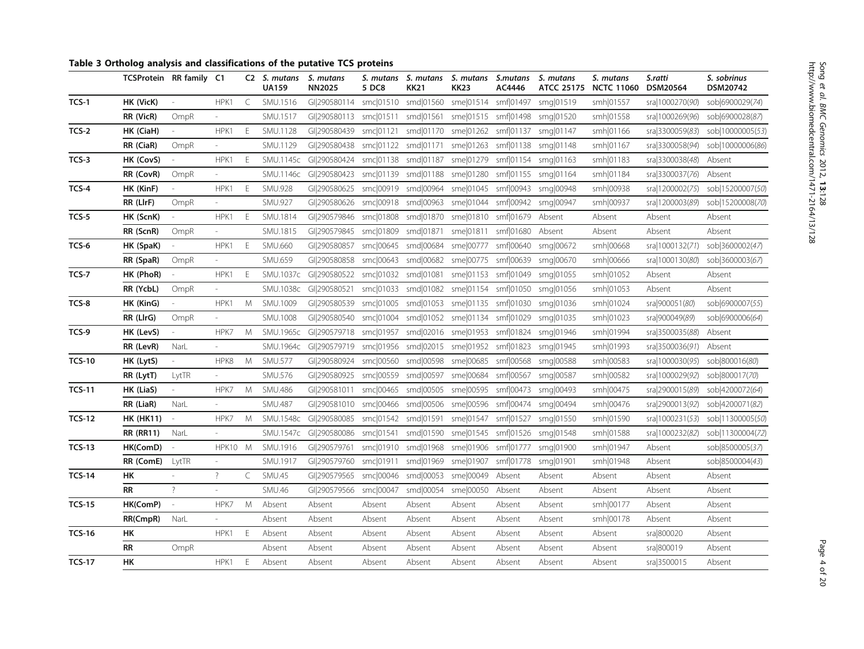|               | TCSProtein RR family C1 |                          |                          |   | C <sub>2</sub> S. mutans<br><b>UA159</b> | S. mutans<br><b>NN2025</b> | S. mutans<br>5 DC8 | S. mutans<br><b>KK21</b> | S. mutans<br><b>KK23</b> | S.mutans<br>AC4446   | S. mutans<br><b>ATCC 25175</b> | S. mutans<br><b>NCTC 11060</b> | S.ratti<br>DSM20564 | S. sobrinus<br>DSM20742 |
|---------------|-------------------------|--------------------------|--------------------------|---|------------------------------------------|----------------------------|--------------------|--------------------------|--------------------------|----------------------|--------------------------------|--------------------------------|---------------------|-------------------------|
| $TCS-1$       | HK (VicK)               | $\overline{\phantom{a}}$ | HPK1                     | C | SMU.1516                                 | GI 290580114 smc 01510     |                    | smd 01560                | sme 01514 smf 01497      |                      | smg 01519                      | smh 01557                      | sra 1000270(90)     | sob 6900029(74)         |
|               | RR (VicR)               | OmpR                     |                          |   | SMU.1517                                 | GI290580113                | smc 01511          | smd 01561                | sme 01515                | smf 01498            | smg 01520                      | smh 01558                      | sra 1000269(96)     | sob 6900028(87)         |
| $TCS-2$       | HK (CiaH)               |                          | HPK1                     | E | SMU.1128                                 | GI290580439                | smc 01121          | smd 01170                | sme 01262                | smf 01137            | smg 01147                      | smh 01166                      | sra 3300059(83)     | sob 10000005(53)        |
|               | RR (CiaR)               | OmpR                     |                          |   | SMU.1129                                 | GI290580438                | smc 01122          | smd 01171                | sme 01263                | smf 01138            | smg 01148                      | smh 01167                      | sra 3300058(94)     | sob 10000006(86)        |
| $TCS-3$       | HK (CovS)               |                          | HPK1                     | Ε | SMU.1145c                                | GI290580424                | smc 01138          | smd 01187                | sme 01279                | smf 01154            | smg 01163                      | smh 01183                      | sra 3300038(48)     | Absent                  |
|               | RR (CovR)               | OmpR                     |                          |   | SMU.1146c                                | GI290580423                | smc 01139          | smd 01188                | sme 01280                | smf 01155            | smg 01164                      | smh 01184                      | sra 3300037(76)     | Absent                  |
| TCS-4         | HK (KinF)               |                          | HPK1                     | E | <b>SMU.928</b>                           | GI290580625                | smc 00919          | smd 00964                | sme 01045                | smf 00943            | smg 00948                      | smh 00938                      | sra 1200002(75)     | sob 15200007(50)        |
|               | RR (LIrF)               | OmpR                     |                          |   | <b>SMU.927</b>                           | GI290580626                | smc 00918          | smd 00963                | sme 01044                | smf 00942            | smg 00947                      | smh 00937                      | sra 1200003(89)     | sob 15200008(70)        |
| $TCS-5$       | HK (ScnK)               |                          | HPK1                     | E | SMU.1814                                 | GI290579846                | smc 01808          | smd 01870                | sme 01810                | smf 01679            | Absent                         | Absent                         | Absent              | Absent                  |
|               | RR (ScnR)               | OmpR                     |                          |   | SMU.1815                                 | GI290579845                | smc 01809          | smd 01871                | sme 01811                | smf 01680            | Absent                         | Absent                         | Absent              | Absent                  |
| TCS-6         | HK (SpaK)               | ÷,                       | HPK1                     | Ε | SMU.660                                  | GI 290580857               | smc 00645          | smd 00684                | sme 00777                | smf 00640            | smg 00672                      | smh 00668                      | sra 1000132(71)     | sob 3600002(47)         |
|               | RR (SpaR)               | OmpR                     |                          |   | SMU.659                                  | GI290580858                | smc 00643          | smd 00682                | sme 00775                | smf 00639            | smg 00670                      | smh 00666                      | sra 1000130(80)     | sob 3600003(67)         |
| <b>TCS-7</b>  | HK (PhoR)               | $\sim$                   | HPK1                     | Ε | SMU.1037c                                | GI290580522                | smc 01032          | smd 01081                | sme 01153                | smf 01049            | smg 01055                      | smh 01052                      | Absent              | Absent                  |
|               | RR (YcbL)               | OmpR                     |                          |   | SMU.1038c                                | GI290580521                | smc 01033          | smd 01082                | sme 01154                | smf 01050            | smg 01056                      | smh 01053                      | Absent              | Absent                  |
| $TCS-8$       | HK (KinG)               |                          | HPK1                     | M | SMU.1009                                 | GI290580539                | smc 01005          | smd 01053                | sme 01135                | smf 01030            | smg 01036                      | smh 01024                      | sra 900051(80)      | sob 6900007(55)         |
|               | RR (LIrG)               | OmpR                     |                          |   | SMU.1008                                 | GI290580540                | smc 01004          | smd 01052                | sme 01134                | smf 01029            | smg 01035                      | smh 01023                      | sra 900049(89)      | sob 6900006(64)         |
| TCS-9         | HK (LevS)               |                          | HPK7                     | M | SMU.1965c                                | GI290579718                | smc 01957          | smd 02016                | sme 01953                | smf 01824            | smg 01946                      | smh 01994                      | sra 3500035(88)     | Absent                  |
|               | RR (LevR)               | NarL                     |                          |   | SMU.1964c                                | GI290579719                | smc 01956          | smd 02015                | sme 01952                | smf 01823            | smg 01945                      | smh 01993                      | sra 3500036(91)     | Absent                  |
| <b>TCS-10</b> | HK (LytS)               |                          | HPK8                     | M | <b>SMU.577</b>                           | GI290580924                | smc 00560          | smd 00598                | sme 00685                | smf 00568            | smg 00588                      | smh 00583                      | sra 1000030(95)     | sob 800016(80)          |
|               | RR (LytT)               | LytTR                    |                          |   | SMU.576                                  | GI290580925                | smc 00559          | smd 00597                | sme 00684                | smf 00567            | smg 00587                      | smh 00582                      | sra 1000029(92)     | sob 800017(70)          |
| <b>TCS-11</b> | HK (LiaS)               |                          | HPK7                     | M | <b>SMU.486</b>                           | GI290581011                | smc 00465          | smd 00505                | sme 00595                | smf 00473            | smg 00493                      | smh 00475                      | sra 2900015(89)     | sob 4200072(64)         |
|               | RR (LiaR)               | NarL                     |                          |   | <b>SMU.487</b>                           | GI290581010                | smc 00466          | smd 00506                | sme 00596                | smf 00474            | smg 00494                      | smh 00476                      | sra 2900013(92)     | sob 4200071(82)         |
| <b>TCS-12</b> | <b>HK (HK11)</b>        | $\overline{\phantom{a}}$ | HPK7                     | M | SMU.1548c                                | GI290580085                | smc 01542          | smd 01591                | sme 01547                | smf 01527            | smg 01550                      | smh 01590                      | sra 1000231(53)     | sob 11300005(50)        |
|               | <b>RR (RR11)</b>        | NarL                     |                          |   | SMU.1547c                                | GI290580086                | smc 01541          | smd 01590                | sme 01545                | smf <sup>01526</sup> | smg 01548                      | smh 01588                      | sra 1000232(82)     | sob 11300004(72)        |
| <b>TCS-13</b> | HK(ComD)                |                          | HPK10                    | M | SMU.1916                                 | GI290579761                | smc 01910          | smd 01968                | sme 01906                | smf 01777            | smg 01900                      | smh 01947                      | Absent              | sob 8500005(37)         |
|               | RR (ComE)               | LytTR                    |                          |   | SMU.1917                                 | GI290579760                | smc 01911          | smd 01969                | sme 01907                | smf 01778            | smg 01901                      | smh 01948                      | Absent              | sob 8500004(43)         |
| <b>TCS-14</b> | HK                      |                          | $\overline{\phantom{a}}$ | C | <b>SMU.45</b>                            | GI290579565                | smc 00046          | smd 00053                | sme 00049                | Absent               | Absent                         | Absent                         | Absent              | Absent                  |
|               | <b>RR</b>               | $\overline{?}$           |                          |   | <b>SMU.46</b>                            | GI290579566                | smc 00047          | smd 00054                | sme 00050                | Absent               | Absent                         | Absent                         | Absent              | Absent                  |
| <b>TCS-15</b> | HK(ComP)                | $\sim$                   | HPK7                     | M | Absent                                   | Absent                     | Absent             | Absent                   | Absent                   | Absent               | Absent                         | smh 00177                      | Absent              | Absent                  |
|               | RR(CmpR)                | NarL                     |                          |   | Absent                                   | Absent                     | Absent             | Absent                   | Absent                   | Absent               | Absent                         | smh 00178                      | Absent              | Absent                  |
| <b>TCS-16</b> | HK                      |                          | HPK1                     | Ε | Absent                                   | Absent                     | Absent             | Absent                   | Absent                   | Absent               | Absent                         | Absent                         | sra 800020          | Absent                  |
|               | <b>RR</b>               | OmpR                     |                          |   | Absent                                   | Absent                     | Absent             | Absent                   | Absent                   | Absent               | Absent                         | Absent                         | sra 800019          | Absent                  |
| <b>TCS-17</b> | HK                      |                          | HPK1                     | F | Absent                                   | Absent                     | Absent             | Absent                   | Absent                   | Absent               | Absent                         | Absent                         | sra 3500015         | Absent                  |

## <span id="page-3-0"></span>Table 3 Ortholog analysis and classifications of the putative TCS proteins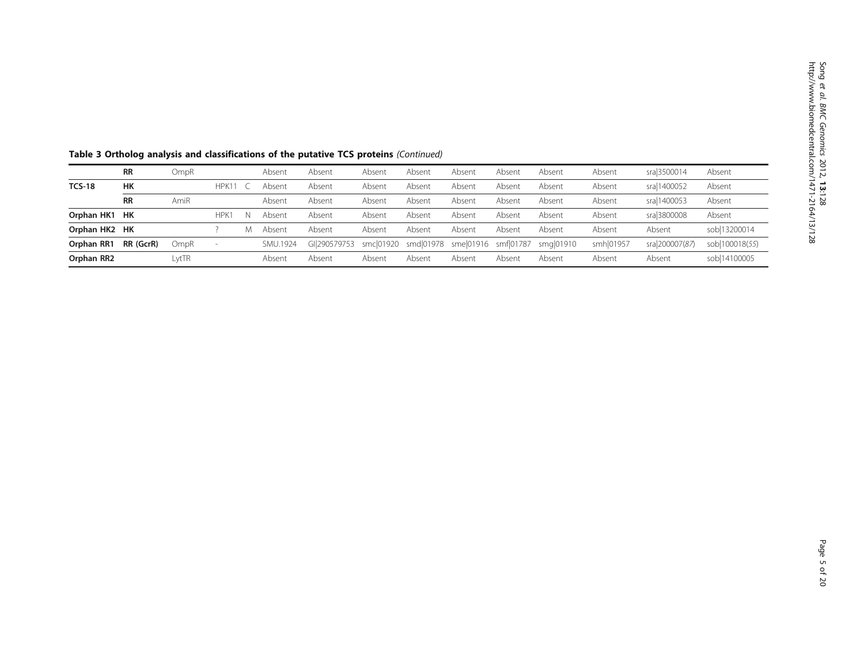|                      | <b>RR</b> | .<br>OmpR |                   |   | Absent   | Absent      | Absent | Absent                                  | Absent | Absent | Absent    | Absent    | sral3500014    | Absent         |
|----------------------|-----------|-----------|-------------------|---|----------|-------------|--------|-----------------------------------------|--------|--------|-----------|-----------|----------------|----------------|
| <b>TCS-18</b>        | HК        |           | HPK1 <sup>-</sup> |   | Absent   | Absent      | Absent | Absent                                  | Absent | Absent | Absent    | Absent    | sral1400052    | Absent         |
|                      | <b>RR</b> | AmiR      |                   |   | Absent   | Absent      | Absent | Absent                                  | Absent | Absent | Absent    | Absent    | sral1400053    | Absent         |
| Orphan HK1 HK        |           |           | HPK <sup>®</sup>  |   | Absent   | Absent      | Absent | Absent                                  | Absent | Absent | Absent    | Absent    | sral3800008    | Absent         |
| Orphan HK2 HK        |           |           |                   | M | Absent   | Absent      | Absent | Absent                                  | Absent | Absent | Absent    | Absent    | Absent         | sobl13200014   |
| Orphan RR1 RR (GcrR) |           | OmpR      |                   |   | SMU.1924 | GI290579753 |        | smc 01920 smd 01978 sme 01916 smf 01787 |        |        | smal01910 | smh 01957 | sra 200007(87) | sob 100018(55) |
| Orphan RR2           |           | LytTR     |                   |   | Absent   | Absent      | Absent | Absent                                  | Absent | Absent | Absent    | Absent    | Absent         | sob 14100005   |

Table 3 Ortholog analysis and classifications of the putative TCS proteins (Continued)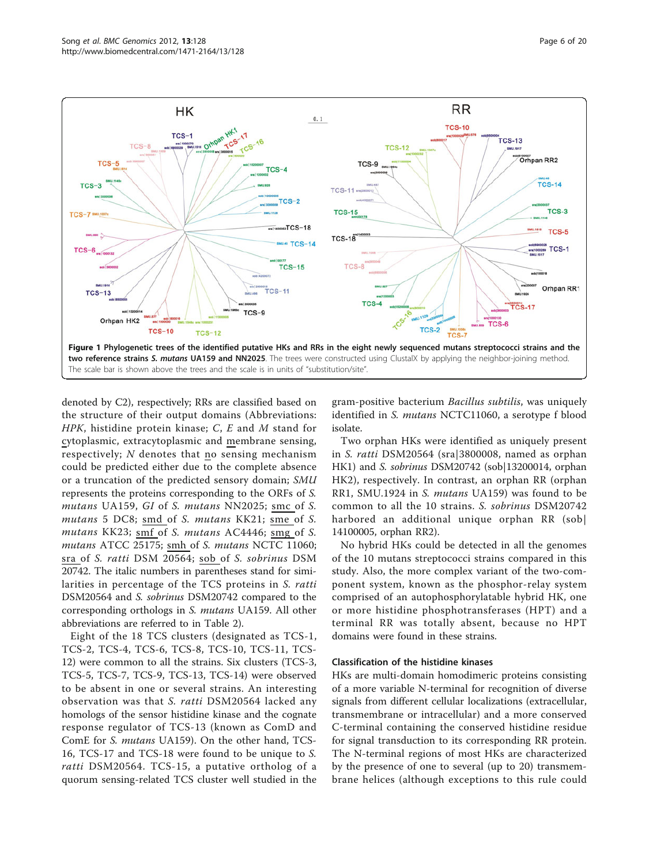<span id="page-5-0"></span>

denoted by C2), respectively; RRs are classified based on the structure of their output domains (Abbreviations: HPK, histidine protein kinase;  $C$ ,  $E$  and  $M$  stand for cytoplasmic, extracytoplasmic and membrane sensing, respectively;  $N$  denotes that no sensing mechanism could be predicted either due to the complete absence or a truncation of the predicted sensory domain; SMU represents the proteins corresponding to the ORFs of S. mutans UA159, GI of S. mutans NN2025; smc of S. mutans 5 DC8; smd of S. mutans KK21; sme of S. mutans KK23; smf of S. mutans AC4446; smg of S. mutans ATCC 25175; smh of S. mutans NCTC 11060; sra of S. ratti DSM 20564; sob of S. sobrinus DSM 20742. The italic numbers in parentheses stand for similarities in percentage of the TCS proteins in S. ratti DSM20564 and S. sobrinus DSM20742 compared to the corresponding orthologs in S. mutans UA159. All other abbreviations are referred to in Table [2\)](#page-2-0).

Eight of the 18 TCS clusters (designated as TCS-1, TCS-2, TCS-4, TCS-6, TCS-8, TCS-10, TCS-11, TCS-12) were common to all the strains. Six clusters (TCS-3, TCS-5, TCS-7, TCS-9, TCS-13, TCS-14) were observed to be absent in one or several strains. An interesting observation was that S. ratti DSM20564 lacked any homologs of the sensor histidine kinase and the cognate response regulator of TCS-13 (known as ComD and ComE for S. mutans UA159). On the other hand, TCS-16, TCS-17 and TCS-18 were found to be unique to S. ratti DSM20564. TCS-15, a putative ortholog of a quorum sensing-related TCS cluster well studied in the

gram-positive bacterium Bacillus subtilis, was uniquely identified in S. mutans NCTC11060, a serotype f blood isolate.

Two orphan HKs were identified as uniquely present in S. ratti DSM20564 (sra|3800008, named as orphan HK1) and S. sobrinus DSM20742 (sob|13200014, orphan HK2), respectively. In contrast, an orphan RR (orphan RR1, SMU.1924 in S. mutans UA159) was found to be common to all the 10 strains. S. sobrinus DSM20742 harbored an additional unique orphan RR (sob| 14100005, orphan RR2).

No hybrid HKs could be detected in all the genomes of the 10 mutans streptococci strains compared in this study. Also, the more complex variant of the two-component system, known as the phosphor-relay system comprised of an autophosphorylatable hybrid HK, one or more histidine phosphotransferases (HPT) and a terminal RR was totally absent, because no HPT domains were found in these strains.

#### Classification of the histidine kinases

HKs are multi-domain homodimeric proteins consisting of a more variable N-terminal for recognition of diverse signals from different cellular localizations (extracellular, transmembrane or intracellular) and a more conserved C-terminal containing the conserved histidine residue for signal transduction to its corresponding RR protein. The N-terminal regions of most HKs are characterized by the presence of one to several (up to 20) transmembrane helices (although exceptions to this rule could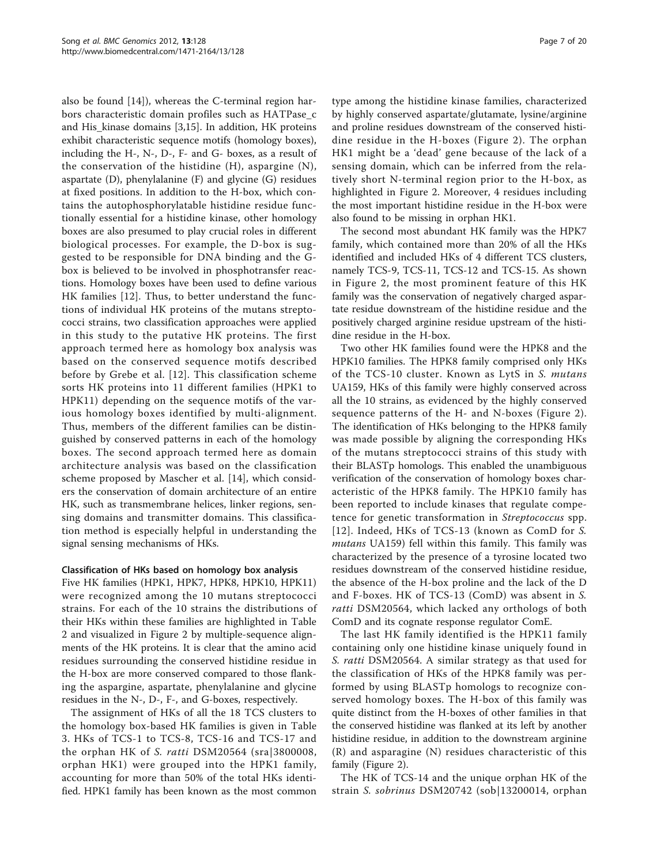also be found [[14\]](#page-17-0)), whereas the C-terminal region harbors characteristic domain profiles such as HATPase\_c and His\_kinase domains [\[3,15](#page-17-0)]. In addition, HK proteins exhibit characteristic sequence motifs (homology boxes), including the H-, N-, D-, F- and G- boxes, as a result of the conservation of the histidine (H), aspargine (N), aspartate (D), phenylalanine (F) and glycine (G) residues at fixed positions. In addition to the H-box, which contains the autophosphorylatable histidine residue functionally essential for a histidine kinase, other homology boxes are also presumed to play crucial roles in different biological processes. For example, the D-box is suggested to be responsible for DNA binding and the Gbox is believed to be involved in phosphotransfer reactions. Homology boxes have been used to define various HK families [[12\]](#page-17-0). Thus, to better understand the functions of individual HK proteins of the mutans streptococci strains, two classification approaches were applied in this study to the putative HK proteins. The first approach termed here as homology box analysis was based on the conserved sequence motifs described before by Grebe et al. [\[12\]](#page-17-0). This classification scheme sorts HK proteins into 11 different families (HPK1 to HPK11) depending on the sequence motifs of the various homology boxes identified by multi-alignment. Thus, members of the different families can be distinguished by conserved patterns in each of the homology boxes. The second approach termed here as domain architecture analysis was based on the classification scheme proposed by Mascher et al. [[14\]](#page-17-0), which considers the conservation of domain architecture of an entire HK, such as transmembrane helices, linker regions, sensing domains and transmitter domains. This classification method is especially helpful in understanding the signal sensing mechanisms of HKs.

#### Classification of HKs based on homology box analysis

Five HK families (HPK1, HPK7, HPK8, HPK10, HPK11) were recognized among the 10 mutans streptococci strains. For each of the 10 strains the distributions of their HKs within these families are highlighted in Table [2](#page-2-0) and visualized in Figure [2](#page-7-0) by multiple-sequence alignments of the HK proteins. It is clear that the amino acid residues surrounding the conserved histidine residue in the H-box are more conserved compared to those flanking the aspargine, aspartate, phenylalanine and glycine residues in the N-, D-, F-, and G-boxes, respectively.

The assignment of HKs of all the 18 TCS clusters to the homology box-based HK families is given in Table [3.](#page-3-0) HKs of TCS-1 to TCS-8, TCS-16 and TCS-17 and the orphan HK of S. ratti DSM20564 (sra|3800008, orphan HK1) were grouped into the HPK1 family, accounting for more than 50% of the total HKs identified. HPK1 family has been known as the most common

type among the histidine kinase families, characterized by highly conserved aspartate/glutamate, lysine/arginine and proline residues downstream of the conserved histidine residue in the H-boxes (Figure [2](#page-7-0)). The orphan HK1 might be a 'dead' gene because of the lack of a sensing domain, which can be inferred from the relatively short N-terminal region prior to the H-box, as highlighted in Figure [2.](#page-7-0) Moreover, 4 residues including the most important histidine residue in the H-box were also found to be missing in orphan HK1.

The second most abundant HK family was the HPK7 family, which contained more than 20% of all the HKs identified and included HKs of 4 different TCS clusters, namely TCS-9, TCS-11, TCS-12 and TCS-15. As shown in Figure [2,](#page-7-0) the most prominent feature of this HK family was the conservation of negatively charged aspartate residue downstream of the histidine residue and the positively charged arginine residue upstream of the histidine residue in the H-box.

Two other HK families found were the HPK8 and the HPK10 families. The HPK8 family comprised only HKs of the TCS-10 cluster. Known as LytS in S. mutans UA159, HKs of this family were highly conserved across all the 10 strains, as evidenced by the highly conserved sequence patterns of the H- and N-boxes (Figure [2\)](#page-7-0). The identification of HKs belonging to the HPK8 family was made possible by aligning the corresponding HKs of the mutans streptococci strains of this study with their BLASTp homologs. This enabled the unambiguous verification of the conservation of homology boxes characteristic of the HPK8 family. The HPK10 family has been reported to include kinases that regulate competence for genetic transformation in Streptococcus spp. [[12\]](#page-17-0). Indeed, HKs of TCS-13 (known as ComD for S. mutans UA159) fell within this family. This family was characterized by the presence of a tyrosine located two residues downstream of the conserved histidine residue, the absence of the H-box proline and the lack of the D and F-boxes. HK of TCS-13 (ComD) was absent in S. ratti DSM20564, which lacked any orthologs of both ComD and its cognate response regulator ComE.

The last HK family identified is the HPK11 family containing only one histidine kinase uniquely found in S. ratti DSM20564. A similar strategy as that used for the classification of HKs of the HPK8 family was performed by using BLASTp homologs to recognize conserved homology boxes. The H-box of this family was quite distinct from the H-boxes of other families in that the conserved histidine was flanked at its left by another histidine residue, in addition to the downstream arginine (R) and asparagine (N) residues characteristic of this family (Figure [2\)](#page-7-0).

The HK of TCS-14 and the unique orphan HK of the strain S. sobrinus DSM20742 (sob|13200014, orphan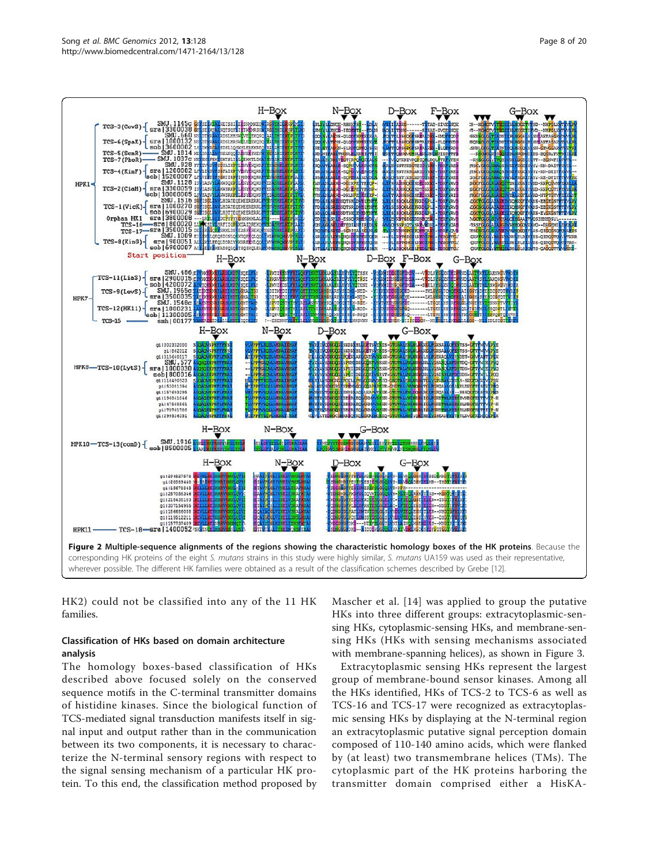<span id="page-7-0"></span>

HK2) could not be classified into any of the 11 HK families.

#### Classification of HKs based on domain architecture analysis

The homology boxes-based classification of HKs described above focused solely on the conserved sequence motifs in the C-terminal transmitter domains of histidine kinases. Since the biological function of TCS-mediated signal transduction manifests itself in signal input and output rather than in the communication between its two components, it is necessary to characterize the N-terminal sensory regions with respect to the signal sensing mechanism of a particular HK protein. To this end, the classification method proposed by

Mascher et al. [[14](#page-17-0)] was applied to group the putative HKs into three different groups: extracytoplasmic-sensing HKs, cytoplasmic-sensing HKs, and membrane-sensing HKs (HKs with sensing mechanisms associated with membrane-spanning helices), as shown in Figure [3.](#page-8-0)

Extracytoplasmic sensing HKs represent the largest group of membrane-bound sensor kinases. Among all the HKs identified, HKs of TCS-2 to TCS-6 as well as TCS-16 and TCS-17 were recognized as extracytoplasmic sensing HKs by displaying at the N-terminal region an extracytoplasmic putative signal perception domain composed of 110-140 amino acids, which were flanked by (at least) two transmembrane helices (TMs). The cytoplasmic part of the HK proteins harboring the transmitter domain comprised either a HisKA-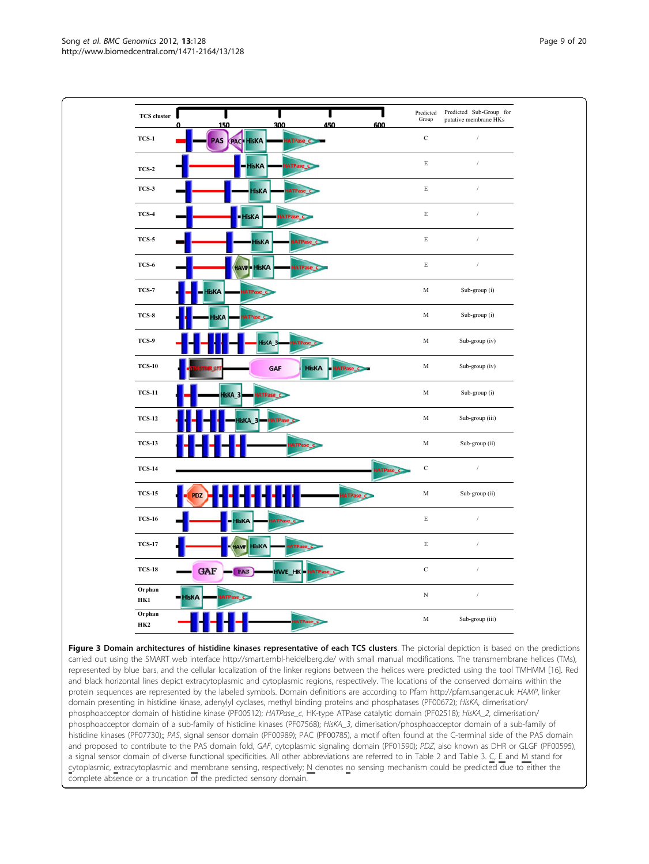<span id="page-8-0"></span>

Figure 3 Domain architectures of histidine kinases representative of each TCS clusters. The pictorial depiction is based on the predictions carried out using the SMART web interface<http://smart.embl-heidelberg.de/> with small manual modifications. The transmembrane helices (TMs), represented by blue bars, and the cellular localization of the linker regions between the helices were predicted using the tool TMHMM [\[16](#page-17-0)]. Red and black horizontal lines depict extracytoplasmic and cytoplasmic regions, respectively. The locations of the conserved domains within the protein sequences are represented by the labeled symbols. Domain definitions are according to Pfam [http://pfam.sanger.ac.uk:](http://pfam.sanger.ac.uk) HAMP, linker domain presenting in histidine kinase, adenylyl cyclases, methyl binding proteins and phosphatases (PF00672); HisKA, dimerisation/ phosphoacceptor domain of histidine kinase (PF00512); HATPase\_c, HK-type ATPase catalytic domain (PF02518); HisKA\_2, dimerisation/ phosphoacceptor domain of a sub-family of histidine kinases (PF07568); HisKA\_3, dimerisation/phosphoacceptor domain of a sub-family of histidine kinases (PF07730);; PAS, signal sensor domain (PF00989); PAC (PF00785), a motif often found at the C-terminal side of the PAS domain and proposed to contribute to the PAS domain fold, GAF, cytoplasmic signaling domain (PF01590); PDZ, also known as DHR or GLGF (PF00595), a signal sensor domain of diverse functional specificities. All other abbreviations are referred to in Table 2 and Table 3. C, E and M stand for cytoplasmic, extracytoplasmic and membrane sensing, respectively; N denotes no sensing mechanism could be predicted due to either the complete absence or a truncation of the predicted sensory domain.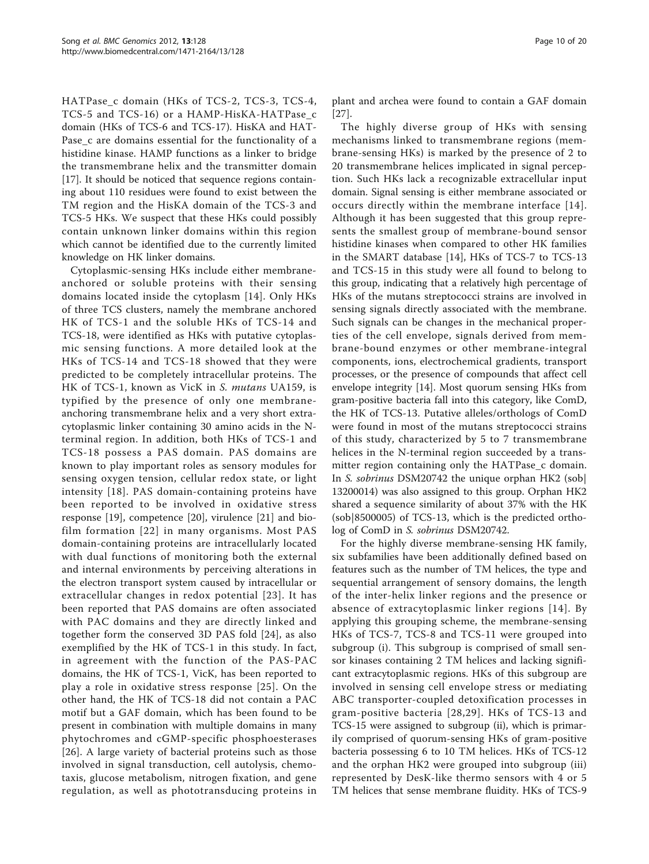HATPase\_c domain (HKs of TCS-2, TCS-3, TCS-4, TCS-5 and TCS-16) or a HAMP-HisKA-HATPase\_c domain (HKs of TCS-6 and TCS-17). HisKA and HAT-Pase\_c are domains essential for the functionality of a histidine kinase. HAMP functions as a linker to bridge the transmembrane helix and the transmitter domain [[17\]](#page-17-0). It should be noticed that sequence regions containing about 110 residues were found to exist between the TM region and the HisKA domain of the TCS-3 and TCS-5 HKs. We suspect that these HKs could possibly contain unknown linker domains within this region which cannot be identified due to the currently limited knowledge on HK linker domains.

Cytoplasmic-sensing HKs include either membraneanchored or soluble proteins with their sensing domains located inside the cytoplasm [[14](#page-17-0)]. Only HKs of three TCS clusters, namely the membrane anchored HK of TCS-1 and the soluble HKs of TCS-14 and TCS-18, were identified as HKs with putative cytoplasmic sensing functions. A more detailed look at the HKs of TCS-14 and TCS-18 showed that they were predicted to be completely intracellular proteins. The HK of TCS-1, known as VicK in S. *mutans* UA159, is typified by the presence of only one membraneanchoring transmembrane helix and a very short extracytoplasmic linker containing 30 amino acids in the Nterminal region. In addition, both HKs of TCS-1 and TCS-18 possess a PAS domain. PAS domains are known to play important roles as sensory modules for sensing oxygen tension, cellular redox state, or light intensity [[18](#page-17-0)]. PAS domain-containing proteins have been reported to be involved in oxidative stress response [[19\]](#page-17-0), competence [\[20](#page-17-0)], virulence [[21\]](#page-17-0) and biofilm formation [[22\]](#page-17-0) in many organisms. Most PAS domain-containing proteins are intracellularly located with dual functions of monitoring both the external and internal environments by perceiving alterations in the electron transport system caused by intracellular or extracellular changes in redox potential [\[23](#page-17-0)]. It has been reported that PAS domains are often associated with PAC domains and they are directly linked and together form the conserved 3D PAS fold [[24](#page-17-0)], as also exemplified by the HK of TCS-1 in this study. In fact, in agreement with the function of the PAS-PAC domains, the HK of TCS-1, VicK, has been reported to play a role in oxidative stress response [[25\]](#page-17-0). On the other hand, the HK of TCS-18 did not contain a PAC motif but a GAF domain, which has been found to be present in combination with multiple domains in many phytochromes and cGMP-specific phosphoesterases [[26](#page-18-0)]. A large variety of bacterial proteins such as those involved in signal transduction, cell autolysis, chemotaxis, glucose metabolism, nitrogen fixation, and gene regulation, as well as phototransducing proteins in plant and archea were found to contain a GAF domain [[27\]](#page-18-0).

The highly diverse group of HKs with sensing mechanisms linked to transmembrane regions (membrane-sensing HKs) is marked by the presence of 2 to 20 transmembrane helices implicated in signal perception. Such HKs lack a recognizable extracellular input domain. Signal sensing is either membrane associated or occurs directly within the membrane interface [[14\]](#page-17-0). Although it has been suggested that this group represents the smallest group of membrane-bound sensor histidine kinases when compared to other HK families in the SMART database [\[14](#page-17-0)], HKs of TCS-7 to TCS-13 and TCS-15 in this study were all found to belong to this group, indicating that a relatively high percentage of HKs of the mutans streptococci strains are involved in sensing signals directly associated with the membrane. Such signals can be changes in the mechanical properties of the cell envelope, signals derived from membrane-bound enzymes or other membrane-integral components, ions, electrochemical gradients, transport processes, or the presence of compounds that affect cell envelope integrity [[14\]](#page-17-0). Most quorum sensing HKs from gram-positive bacteria fall into this category, like ComD, the HK of TCS-13. Putative alleles/orthologs of ComD were found in most of the mutans streptococci strains of this study, characterized by 5 to 7 transmembrane helices in the N-terminal region succeeded by a transmitter region containing only the HATPase\_c domain. In S. sobrinus DSM20742 the unique orphan HK2 (sob| 13200014) was also assigned to this group. Orphan HK2 shared a sequence similarity of about 37% with the HK (sob|8500005) of TCS-13, which is the predicted ortholog of ComD in S. sobrinus DSM20742.

For the highly diverse membrane-sensing HK family, six subfamilies have been additionally defined based on features such as the number of TM helices, the type and sequential arrangement of sensory domains, the length of the inter-helix linker regions and the presence or absence of extracytoplasmic linker regions [[14\]](#page-17-0). By applying this grouping scheme, the membrane-sensing HKs of TCS-7, TCS-8 and TCS-11 were grouped into subgroup (i). This subgroup is comprised of small sensor kinases containing 2 TM helices and lacking significant extracytoplasmic regions. HKs of this subgroup are involved in sensing cell envelope stress or mediating ABC transporter-coupled detoxification processes in gram-positive bacteria [[28,29](#page-18-0)]. HKs of TCS-13 and TCS-15 were assigned to subgroup (ii), which is primarily comprised of quorum-sensing HKs of gram-positive bacteria possessing 6 to 10 TM helices. HKs of TCS-12 and the orphan HK2 were grouped into subgroup (iii) represented by DesK-like thermo sensors with 4 or 5 TM helices that sense membrane fluidity. HKs of TCS-9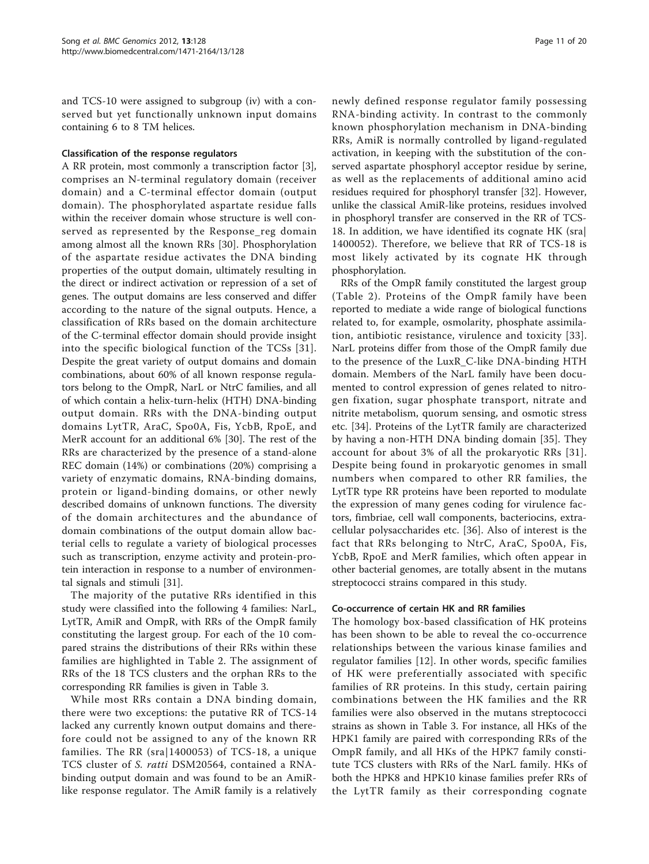and TCS-10 were assigned to subgroup (iv) with a conserved but yet functionally unknown input domains containing 6 to 8 TM helices.

#### Classification of the response regulators

A RR protein, most commonly a transcription factor [\[3](#page-17-0)], comprises an N-terminal regulatory domain (receiver domain) and a C-terminal effector domain (output domain). The phosphorylated aspartate residue falls within the receiver domain whose structure is well conserved as represented by the Response\_reg domain among almost all the known RRs [[30\]](#page-18-0). Phosphorylation of the aspartate residue activates the DNA binding properties of the output domain, ultimately resulting in the direct or indirect activation or repression of a set of genes. The output domains are less conserved and differ according to the nature of the signal outputs. Hence, a classification of RRs based on the domain architecture of the C-terminal effector domain should provide insight into the specific biological function of the TCSs [[31\]](#page-18-0). Despite the great variety of output domains and domain combinations, about 60% of all known response regulators belong to the OmpR, NarL or NtrC families, and all of which contain a helix-turn-helix (HTH) DNA-binding output domain. RRs with the DNA-binding output domains LytTR, AraC, Spo0A, Fis, YcbB, RpoE, and MerR account for an additional 6% [[30\]](#page-18-0). The rest of the RRs are characterized by the presence of a stand-alone REC domain (14%) or combinations (20%) comprising a variety of enzymatic domains, RNA-binding domains, protein or ligand-binding domains, or other newly described domains of unknown functions. The diversity of the domain architectures and the abundance of domain combinations of the output domain allow bacterial cells to regulate a variety of biological processes such as transcription, enzyme activity and protein-protein interaction in response to a number of environmental signals and stimuli [[31\]](#page-18-0).

The majority of the putative RRs identified in this study were classified into the following 4 families: NarL, LytTR, AmiR and OmpR, with RRs of the OmpR family constituting the largest group. For each of the 10 compared strains the distributions of their RRs within these families are highlighted in Table [2](#page-2-0). The assignment of RRs of the 18 TCS clusters and the orphan RRs to the corresponding RR families is given in Table [3](#page-3-0).

While most RRs contain a DNA binding domain, there were two exceptions: the putative RR of TCS-14 lacked any currently known output domains and therefore could not be assigned to any of the known RR families. The RR (sra|1400053) of TCS-18, a unique TCS cluster of S. ratti DSM20564, contained a RNAbinding output domain and was found to be an AmiRlike response regulator. The AmiR family is a relatively newly defined response regulator family possessing RNA-binding activity. In contrast to the commonly known phosphorylation mechanism in DNA-binding RRs, AmiR is normally controlled by ligand-regulated activation, in keeping with the substitution of the conserved aspartate phosphoryl acceptor residue by serine, as well as the replacements of additional amino acid residues required for phosphoryl transfer [\[32](#page-18-0)]. However, unlike the classical AmiR-like proteins, residues involved in phosphoryl transfer are conserved in the RR of TCS-18. In addition, we have identified its cognate HK (sra| 1400052). Therefore, we believe that RR of TCS-18 is most likely activated by its cognate HK through phosphorylation.

RRs of the OmpR family constituted the largest group (Table [2](#page-2-0)). Proteins of the OmpR family have been reported to mediate a wide range of biological functions related to, for example, osmolarity, phosphate assimilation, antibiotic resistance, virulence and toxicity [[33](#page-18-0)]. NarL proteins differ from those of the OmpR family due to the presence of the LuxR\_C-like DNA-binding HTH domain. Members of the NarL family have been documented to control expression of genes related to nitrogen fixation, sugar phosphate transport, nitrate and nitrite metabolism, quorum sensing, and osmotic stress etc. [[34\]](#page-18-0). Proteins of the LytTR family are characterized by having a non-HTH DNA binding domain [[35\]](#page-18-0). They account for about 3% of all the prokaryotic RRs [[31\]](#page-18-0). Despite being found in prokaryotic genomes in small numbers when compared to other RR families, the LytTR type RR proteins have been reported to modulate the expression of many genes coding for virulence factors, fimbriae, cell wall components, bacteriocins, extracellular polysaccharides etc. [\[36](#page-18-0)]. Also of interest is the fact that RRs belonging to NtrC, AraC, Spo0A, Fis, YcbB, RpoE and MerR families, which often appear in other bacterial genomes, are totally absent in the mutans streptococci strains compared in this study.

#### Co-occurrence of certain HK and RR families

The homology box-based classification of HK proteins has been shown to be able to reveal the co-occurrence relationships between the various kinase families and regulator families [[12\]](#page-17-0). In other words, specific families of HK were preferentially associated with specific families of RR proteins. In this study, certain pairing combinations between the HK families and the RR families were also observed in the mutans streptococci strains as shown in Table [3.](#page-3-0) For instance, all HKs of the HPK1 family are paired with corresponding RRs of the OmpR family, and all HKs of the HPK7 family constitute TCS clusters with RRs of the NarL family. HKs of both the HPK8 and HPK10 kinase families prefer RRs of the LytTR family as their corresponding cognate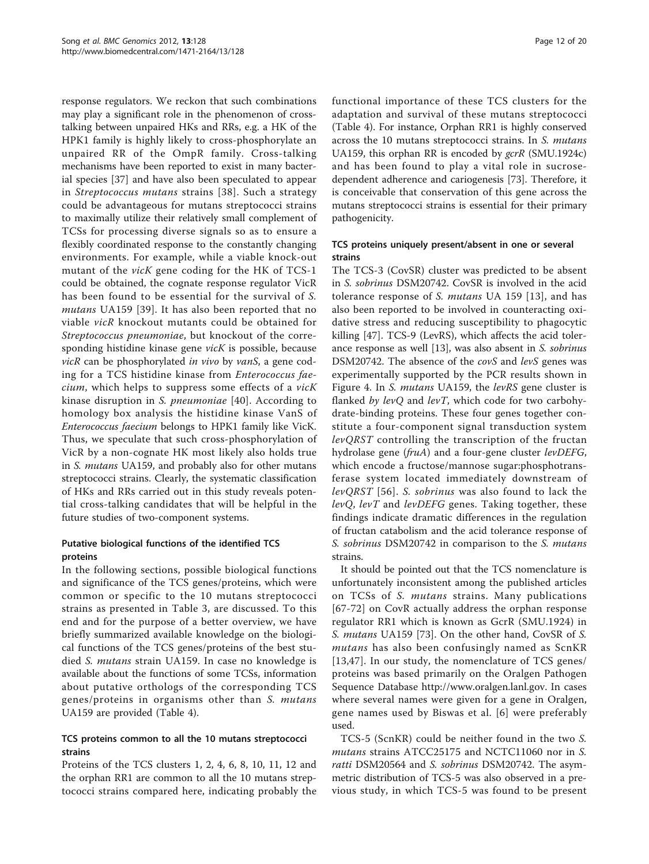response regulators. We reckon that such combinations may play a significant role in the phenomenon of crosstalking between unpaired HKs and RRs, e.g. a HK of the HPK1 family is highly likely to cross-phosphorylate an unpaired RR of the OmpR family. Cross-talking mechanisms have been reported to exist in many bacterial species [\[37](#page-18-0)] and have also been speculated to appear in Streptococcus mutans strains [[38\]](#page-18-0). Such a strategy could be advantageous for mutans streptococci strains to maximally utilize their relatively small complement of TCSs for processing diverse signals so as to ensure a flexibly coordinated response to the constantly changing environments. For example, while a viable knock-out mutant of the vicK gene coding for the HK of TCS-1 could be obtained, the cognate response regulator VicR has been found to be essential for the survival of S. mutans UA159 [[39\]](#page-18-0). It has also been reported that no viable vicR knockout mutants could be obtained for Streptococcus pneumoniae, but knockout of the corresponding histidine kinase gene  $\textit{vicK}$  is possible, because *vicR* can be phosphorylated *in vivo* by *vanS*, a gene coding for a TCS histidine kinase from Enterococcus faecium, which helps to suppress some effects of a vicK kinase disruption in S. pneumoniae [[40](#page-18-0)]. According to homology box analysis the histidine kinase VanS of Enterococcus faecium belongs to HPK1 family like VicK. Thus, we speculate that such cross-phosphorylation of VicR by a non-cognate HK most likely also holds true in S. mutans UA159, and probably also for other mutans streptococci strains. Clearly, the systematic classification of HKs and RRs carried out in this study reveals potential cross-talking candidates that will be helpful in the future studies of two-component systems.

## Putative biological functions of the identified TCS proteins

In the following sections, possible biological functions and significance of the TCS genes/proteins, which were common or specific to the 10 mutans streptococci strains as presented in Table [3,](#page-3-0) are discussed. To this end and for the purpose of a better overview, we have briefly summarized available knowledge on the biological functions of the TCS genes/proteins of the best studied S. mutans strain UA159. In case no knowledge is available about the functions of some TCSs, information about putative orthologs of the corresponding TCS genes/proteins in organisms other than S. mutans UA159 are provided (Table [4](#page-12-0)).

## TCS proteins common to all the 10 mutans streptococci strains

Proteins of the TCS clusters 1, 2, 4, 6, 8, 10, 11, 12 and the orphan RR1 are common to all the 10 mutans streptococci strains compared here, indicating probably the functional importance of these TCS clusters for the adaptation and survival of these mutans streptococci (Table [4](#page-12-0)). For instance, Orphan RR1 is highly conserved across the 10 mutans streptococci strains. In S. mutans UA159, this orphan RR is encoded by gcrR (SMU.1924c) and has been found to play a vital role in sucrosedependent adherence and cariogenesis [[73\]](#page-19-0). Therefore, it is conceivable that conservation of this gene across the mutans streptococci strains is essential for their primary pathogenicity.

## TCS proteins uniquely present/absent in one or several strains

The TCS-3 (CovSR) cluster was predicted to be absent in S. sobrinus DSM20742. CovSR is involved in the acid tolerance response of S. mutans UA 159 [[13](#page-17-0)], and has also been reported to be involved in counteracting oxidative stress and reducing susceptibility to phagocytic killing [[47](#page-18-0)]. TCS-9 (LevRS), which affects the acid tolerance response as well [\[13\]](#page-17-0), was also absent in S. sobrinus DSM20742. The absence of the covS and levS genes was experimentally supported by the PCR results shown in Figure [4](#page-13-0). In S. *mutans* UA159, the *levRS* gene cluster is flanked by levQ and levT, which code for two carbohydrate-binding proteins. These four genes together constitute a four-component signal transduction system levQRST controlling the transcription of the fructan hydrolase gene (fruA) and a four-gene cluster levDEFG, which encode a fructose/mannose sugar:phosphotransferase system located immediately downstream of levQRST [[56](#page-18-0)]. S. sobrinus was also found to lack the  $levQ$ ,  $levT$  and  $levDEFG$  genes. Taking together, these findings indicate dramatic differences in the regulation of fructan catabolism and the acid tolerance response of S. sobrinus DSM20742 in comparison to the S. mutans strains.

It should be pointed out that the TCS nomenclature is unfortunately inconsistent among the published articles on TCSs of S. mutans strains. Many publications [[67](#page-18-0)-[72](#page-19-0)] on CovR actually address the orphan response regulator RR1 which is known as GcrR (SMU.1924) in S. mutans UA159 [\[73](#page-19-0)]. On the other hand, CovSR of S. mutans has also been confusingly named as ScnKR [[13](#page-17-0),[47\]](#page-18-0). In our study, the nomenclature of TCS genes/ proteins was based primarily on the Oralgen Pathogen Sequence Database<http://www.oralgen.lanl.gov>. In cases where several names were given for a gene in Oralgen, gene names used by Biswas et al. [[6\]](#page-17-0) were preferably used.

TCS-5 (ScnKR) could be neither found in the two S. mutans strains ATCC25175 and NCTC11060 nor in S. ratti DSM20564 and S. sobrinus DSM20742. The asymmetric distribution of TCS-5 was also observed in a previous study, in which TCS-5 was found to be present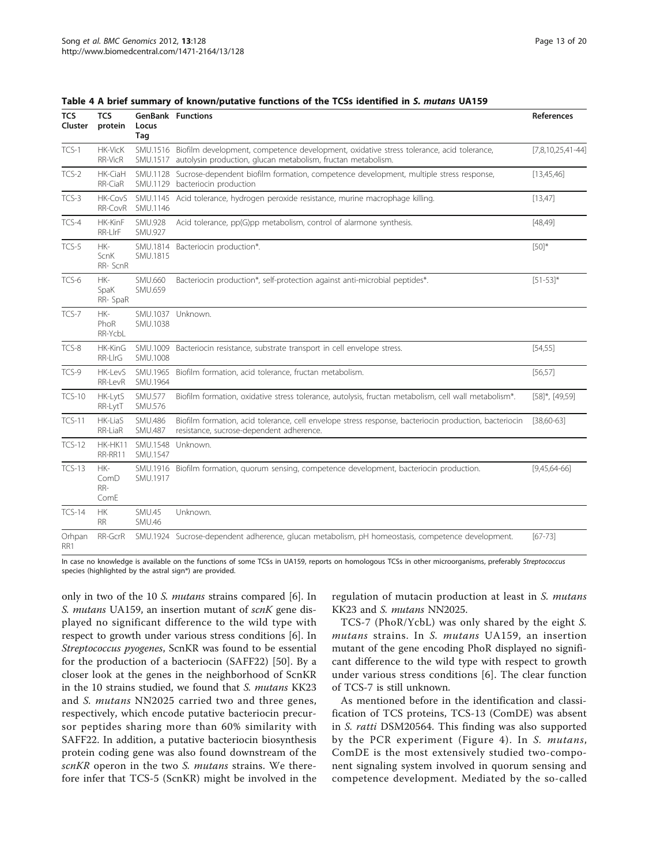| <b>TCS</b><br>Cluster | <b>TCS</b><br>protein      | Locus<br>Tag                     | <b>GenBank Functions</b>                                                                                                                                                   | References          |
|-----------------------|----------------------------|----------------------------------|----------------------------------------------------------------------------------------------------------------------------------------------------------------------------|---------------------|
| TCS-1                 | <b>HK-VicK</b><br>RR-VicR  |                                  | SMU.1516 Biofilm development, competence development, oxidative stress tolerance, acid tolerance,<br>SMU.1517 autolysin production, glucan metabolism, fructan metabolism. | $[7,8,10,25,41-44]$ |
| $TCS-2$               | HK-CiaH<br>RR-CiaR         | SMU.1128<br>SMU.1129             | Sucrose-dependent biofilm formation, competence development, multiple stress response,<br>bacteriocin production                                                           | [13,45,46]          |
| $TCS-3$               | <b>HK-CovS</b><br>RR-CovR  | SMU.1145<br>SMU.1146             | Acid tolerance, hydrogen peroxide resistance, murine macrophage killing.                                                                                                   | [13, 47]            |
| TCS-4                 | <b>HK-KinF</b><br>RR-LIrF  | SMU.928<br><b>SMU.927</b>        | Acid tolerance, pp(G)pp metabolism, control of alarmone synthesis.                                                                                                         | [48, 49]            |
| TCS-5                 | HK-<br>ScnK<br>RR- ScnR    | SMU.1815                         | SMU.1814 Bacteriocin production*.                                                                                                                                          | $[50]$ *            |
| TCS-6                 | HK-<br>SpaK<br>RR-SpaR     | SMU.660<br><b>SMU.659</b>        | Bacteriocin production*, self-protection against anti-microbial peptides*.                                                                                                 | $[51-53]$ *         |
| TCS-7                 | HK-<br>PhoR<br>RR-YcbL     | SMU.1038                         | SMU.1037 Unknown.                                                                                                                                                          |                     |
| TCS-8                 | HK-KinG<br>RR-LIrG         | SMU.1009<br>SMU.1008             | Bacteriocin resistance, substrate transport in cell envelope stress.                                                                                                       | [54, 55]            |
| TCS-9                 | HK-LevS<br>RR-LevR         | SMU.1965<br>SMU.1964             | Biofilm formation, acid tolerance, fructan metabolism.                                                                                                                     | [56, 57]            |
| <b>TCS-10</b>         | HK-LytS<br>RR-LytT         | <b>SMU.577</b><br>SMU.576        | Biofilm formation, oxidative stress tolerance, autolysis, fructan metabolism, cell wall metabolism*.                                                                       | $[58]^*$ , [49,59]  |
| <b>TCS-11</b>         | HK-LiaS<br>RR-LiaR         | <b>SMU.486</b><br><b>SMU.487</b> | Biofilm formation, acid tolerance, cell envelope stress response, bacteriocin production, bacteriocin<br>resistance, sucrose-dependent adherence.                          | $[38,60-63]$        |
| <b>TCS-12</b>         | HK-HK11<br>RR-RR11         | SMU.1548<br>SMU.1547             | Unknown.                                                                                                                                                                   |                     |
| <b>TCS-13</b>         | HK-<br>ComD<br>RR-<br>ComE | SMU.1916<br>SMU.1917             | Biofilm formation, quorum sensing, competence development, bacteriocin production.                                                                                         | $[9,45,64-66]$      |
| $TCS-14$              | <b>HK</b><br><b>RR</b>     | <b>SMU.45</b><br><b>SMU.46</b>   | Unknown.                                                                                                                                                                   |                     |
| Orhpan<br>RR1         | RR-GcrR                    |                                  | SMU.1924 Sucrose-dependent adherence, glucan metabolism, pH homeostasis, competence development.                                                                           | $[67 - 73]$         |

<span id="page-12-0"></span>Table 4 A brief summary of known/putative functions of the TCSs identified in S. mutans UA159

In case no knowledge is available on the functions of some TCSs in UA159, reports on homologous TCSs in other microorganisms, preferably Streptococcus species (highlighted by the astral sign\*) are provided.

only in two of the 10 S. mutans strains compared [\[6](#page-17-0)]. In S. mutans UA159, an insertion mutant of scnK gene displayed no significant difference to the wild type with respect to growth under various stress conditions [\[6](#page-17-0)]. In Streptococcus pyogenes, ScnKR was found to be essential for the production of a bacteriocin (SAFF22) [\[50](#page-18-0)]. By a closer look at the genes in the neighborhood of ScnKR in the 10 strains studied, we found that S. mutans KK23 and S. mutans NN2025 carried two and three genes, respectively, which encode putative bacteriocin precursor peptides sharing more than 60% similarity with SAFF22. In addition, a putative bacteriocin biosynthesis protein coding gene was also found downstream of the scnKR operon in the two S. mutans strains. We therefore infer that TCS-5 (ScnKR) might be involved in the regulation of mutacin production at least in S. mutans KK23 and S. mutans NN2025.

TCS-7 (PhoR/YcbL) was only shared by the eight S. mutans strains. In S. mutans UA159, an insertion mutant of the gene encoding PhoR displayed no significant difference to the wild type with respect to growth under various stress conditions [\[6](#page-17-0)]. The clear function of TCS-7 is still unknown.

As mentioned before in the identification and classification of TCS proteins, TCS-13 (ComDE) was absent in S. ratti DSM20564. This finding was also supported by the PCR experiment (Figure [4\)](#page-13-0). In S. mutans, ComDE is the most extensively studied two-component signaling system involved in quorum sensing and competence development. Mediated by the so-called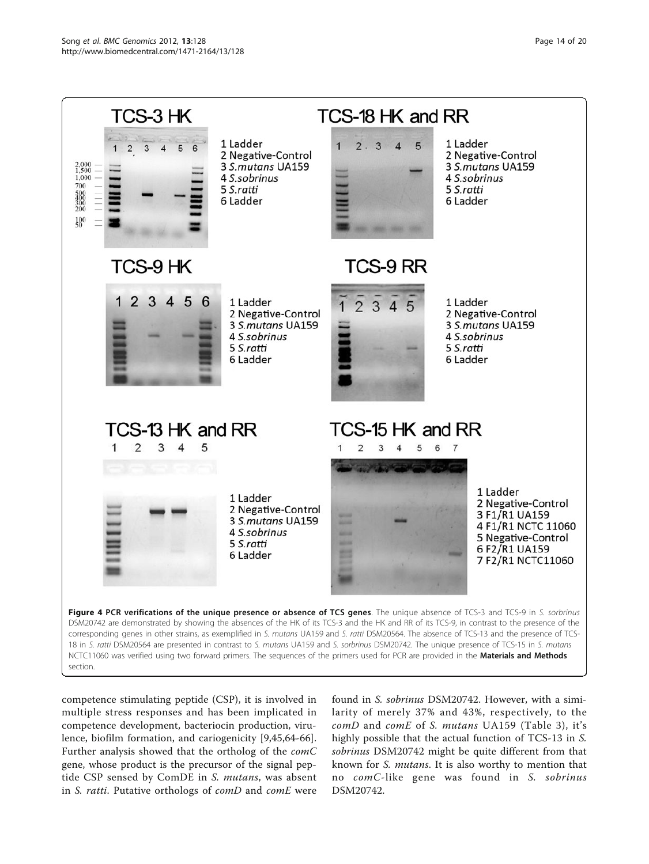<span id="page-13-0"></span>

competence stimulating peptide (CSP), it is involved in multiple stress responses and has been implicated in competence development, bacteriocin production, virulence, biofilm formation, and cariogenicity [[9](#page-17-0)[,45](#page-18-0),[64-66](#page-18-0)]. Further analysis showed that the ortholog of the comC gene, whose product is the precursor of the signal peptide CSP sensed by ComDE in S. mutans, was absent in S. ratti. Putative orthologs of comD and comE were

found in S. sobrinus DSM20742. However, with a similarity of merely 37% and 43%, respectively, to the comD and comE of S. mutans UA159 (Table [3\)](#page-3-0), it'<sup>s</sup> highly possible that the actual function of TCS-13 in S. sobrinus DSM20742 might be quite different from that known for S. mutans. It is also worthy to mention that no comC-like gene was found in S. sobrinus DSM20742.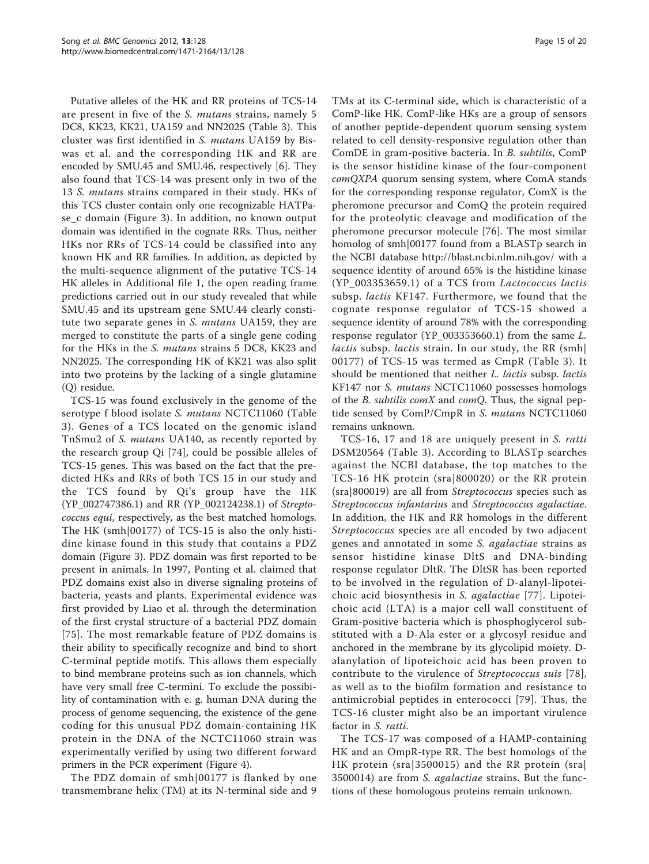Putative alleles of the HK and RR proteins of TCS-14 are present in five of the S. mutans strains, namely 5 DC8, KK23, KK21, UA159 and NN2025 (Table [3](#page-3-0)). This cluster was first identified in S. mutans UA159 by Biswas et al. and the corresponding HK and RR are encoded by SMU.45 and SMU.46, respectively [\[6](#page-17-0)]. They also found that TCS-14 was present only in two of the <sup>13</sup> S. mutans strains compared in their study. HKs of this TCS cluster contain only one recognizable HATPase\_c domain (Figure [3\)](#page-8-0). In addition, no known output domain was identified in the cognate RRs. Thus, neither HKs nor RRs of TCS-14 could be classified into any known HK and RR families. In addition, as depicted by the multi-sequence alignment of the putative TCS-14 HK alleles in Additional file [1,](#page-17-0) the open reading frame predictions carried out in our study revealed that while SMU.45 and its upstream gene SMU.44 clearly constitute two separate genes in S. mutans UA159, they are merged to constitute the parts of a single gene coding for the HKs in the S. mutans strains 5 DC8, KK23 and NN2025. The corresponding HK of KK21 was also split into two proteins by the lacking of a single glutamine (Q) residue.

TCS-15 was found exclusively in the genome of the serotype f blood isolate S. mutans NCTC11060 (Table [3](#page-3-0)). Genes of a TCS located on the genomic island TnSmu2 of S. mutans UA140, as recently reported by the research group Qi [\[74](#page-19-0)], could be possible alleles of TCS-15 genes. This was based on the fact that the predicted HKs and RRs of both TCS 15 in our study and the TCS found by Qi's group have the HK (YP\_002747386.1) and RR (YP\_002124238.1) of Streptococcus equi, respectively, as the best matched homologs. The HK (smh|00177) of TCS-15 is also the only histidine kinase found in this study that contains a PDZ domain (Figure [3](#page-8-0)). PDZ domain was first reported to be present in animals. In 1997, Ponting et al. claimed that PDZ domains exist also in diverse signaling proteins of bacteria, yeasts and plants. Experimental evidence was first provided by Liao et al. through the determination of the first crystal structure of a bacterial PDZ domain [[75](#page-19-0)]. The most remarkable feature of PDZ domains is their ability to specifically recognize and bind to short C-terminal peptide motifs. This allows them especially to bind membrane proteins such as ion channels, which have very small free C-termini. To exclude the possibility of contamination with e. g. human DNA during the process of genome sequencing, the existence of the gene coding for this unusual PDZ domain-containing HK protein in the DNA of the NCTC11060 strain was experimentally verified by using two different forward primers in the PCR experiment (Figure [4\)](#page-13-0).

The PDZ domain of smh|00177 is flanked by one transmembrane helix (TM) at its N-terminal side and 9 TMs at its C-terminal side, which is characteristic of a ComP-like HK. ComP-like HKs are a group of sensors of another peptide-dependent quorum sensing system related to cell density-responsive regulation other than ComDE in gram-positive bacteria. In B. subtilis, ComP is the sensor histidine kinase of the four-component comQXPA quorum sensing system, where ComA stands for the corresponding response regulator, ComX is the pheromone precursor and ComQ the protein required for the proteolytic cleavage and modification of the pheromone precursor molecule [[76](#page-19-0)]. The most similar homolog of smh|00177 found from a BLASTp search in the NCBI database<http://blast.ncbi.nlm.nih.gov/> with a sequence identity of around 65% is the histidine kinase (YP\_003353659.1) of a TCS from Lactococcus lactis subsp. lactis KF147. Furthermore, we found that the cognate response regulator of TCS-15 showed a sequence identity of around 78% with the corresponding response regulator (YP\_003353660.1) from the same L. lactis subsp. lactis strain. In our study, the RR (smh) 00177) of TCS-15 was termed as CmpR (Table [3](#page-3-0)). It should be mentioned that neither L. lactis subsp. lactis KF147 nor *S. mutans* NCTC11060 possesses homologs of the *B. subtilis comX* and *comQ*. Thus, the signal peptide sensed by ComP/CmpR in S. *mutans* NCTC11060 remains unknown.

TCS-16, 17 and 18 are uniquely present in S. ratti DSM20564 (Table [3](#page-3-0)). According to BLASTp searches against the NCBI database, the top matches to the TCS-16 HK protein (sra|800020) or the RR protein (sra|800019) are all from Streptococcus species such as Streptococcus infantarius and Streptococcus agalactiae. In addition, the HK and RR homologs in the different Streptococcus species are all encoded by two adjacent genes and annotated in some S. agalactiae strains as sensor histidine kinase DltS and DNA-binding response regulator DltR. The DltSR has been reported to be involved in the regulation of D-alanyl-lipoteichoic acid biosynthesis in S. agalactiae [[77\]](#page-19-0). Lipoteichoic acid (LTA) is a major cell wall constituent of Gram-positive bacteria which is phosphoglycerol substituted with a D-Ala ester or a glycosyl residue and anchored in the membrane by its glycolipid moiety. Dalanylation of lipoteichoic acid has been proven to contribute to the virulence of Streptococcus suis [[78\]](#page-19-0), as well as to the biofilm formation and resistance to antimicrobial peptides in enterococci [[79](#page-19-0)]. Thus, the TCS-16 cluster might also be an important virulence factor in S. ratti.

The TCS-17 was composed of a HAMP-containing HK and an OmpR-type RR. The best homologs of the HK protein (sra|3500015) and the RR protein (sra| 3500014) are from S. agalactiae strains. But the functions of these homologous proteins remain unknown.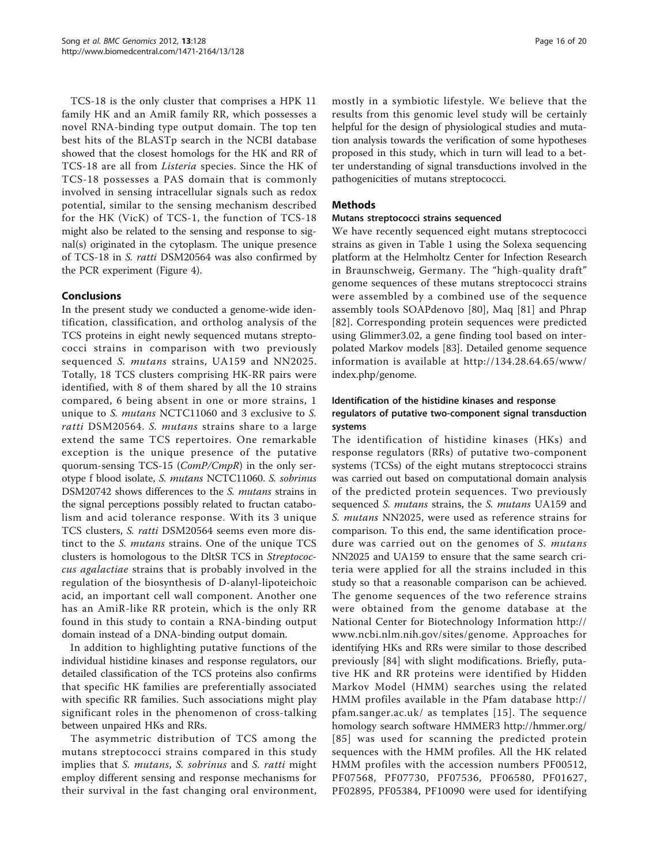TCS-18 is the only cluster that comprises a HPK 11 family HK and an AmiR family RR, which possesses a novel RNA-binding type output domain. The top ten best hits of the BLASTp search in the NCBI database showed that the closest homologs for the HK and RR of TCS-18 are all from Listeria species. Since the HK of TCS-18 possesses a PAS domain that is commonly involved in sensing intracellular signals such as redox potential, similar to the sensing mechanism described for the HK (VicK) of TCS-1, the function of TCS-18 might also be related to the sensing and response to signal(s) originated in the cytoplasm. The unique presence of TCS-18 in S. ratti DSM20564 was also confirmed by the PCR experiment (Figure [4](#page-13-0)).

## Conclusions

In the present study we conducted a genome-wide identification, classification, and ortholog analysis of the TCS proteins in eight newly sequenced mutans streptococci strains in comparison with two previously sequenced S. mutans strains, UA159 and NN2025. Totally, 18 TCS clusters comprising HK-RR pairs were identified, with 8 of them shared by all the 10 strains compared, 6 being absent in one or more strains, 1 unique to S. mutans NCTC11060 and 3 exclusive to S. ratti DSM20564. S. mutans strains share to a large extend the same TCS repertoires. One remarkable exception is the unique presence of the putative quorum-sensing TCS-15 (ComP/CmpR) in the only serotype f blood isolate, S. mutans NCTC11060. S. sobrinus DSM20742 shows differences to the S. mutans strains in the signal perceptions possibly related to fructan catabolism and acid tolerance response. With its 3 unique TCS clusters, S. ratti DSM20564 seems even more distinct to the S. mutans strains. One of the unique TCS clusters is homologous to the DltSR TCS in Streptococcus agalactiae strains that is probably involved in the regulation of the biosynthesis of D-alanyl-lipoteichoic acid, an important cell wall component. Another one has an AmiR-like RR protein, which is the only RR found in this study to contain a RNA-binding output domain instead of a DNA-binding output domain.

In addition to highlighting putative functions of the individual histidine kinases and response regulators, our detailed classification of the TCS proteins also confirms that specific HK families are preferentially associated with specific RR families. Such associations might play significant roles in the phenomenon of cross-talking between unpaired HKs and RRs.

The asymmetric distribution of TCS among the mutans streptococci strains compared in this study implies that *S. mutans*, *S. sobrinus* and *S. ratti* might employ different sensing and response mechanisms for their survival in the fast changing oral environment, mostly in a symbiotic lifestyle. We believe that the results from this genomic level study will be certainly helpful for the design of physiological studies and mutation analysis towards the verification of some hypotheses proposed in this study, which in turn will lead to a better understanding of signal transductions involved in the pathogenicities of mutans streptococci.

## Methods

#### Mutans streptococci strains sequenced

We have recently sequenced eight mutans streptococci strains as given in Table [1](#page-2-0) using the Solexa sequencing platform at the Helmholtz Center for Infection Research in Braunschweig, Germany. The "high-quality draft" genome sequences of these mutans streptococci strains were assembled by a combined use of the sequence assembly tools SOAPdenovo [[80](#page-19-0)], Maq [[81](#page-19-0)] and Phrap [[82](#page-19-0)]. Corresponding protein sequences were predicted using Glimmer3.02, a gene finding tool based on interpolated Markov models [\[83](#page-19-0)]. Detailed genome sequence information is available at [http://134.28.64.65/www/](http://134.28.64.65/www/index.php/genome) [index.php/genome](http://134.28.64.65/www/index.php/genome).

## Identification of the histidine kinases and response regulators of putative two-component signal transduction systems

The identification of histidine kinases (HKs) and response regulators (RRs) of putative two-component systems (TCSs) of the eight mutans streptococci strains was carried out based on computational domain analysis of the predicted protein sequences. Two previously sequenced S. mutans strains, the S. mutans UA159 and S. mutans NN2025, were used as reference strains for comparison. To this end, the same identification procedure was carried out on the genomes of S. mutans NN2025 and UA159 to ensure that the same search criteria were applied for all the strains included in this study so that a reasonable comparison can be achieved. The genome sequences of the two reference strains were obtained from the genome database at the National Center for Biotechnology Information [http://](http://www.ncbi.nlm.nih.gov/sites/genome) [www.ncbi.nlm.nih.gov/sites/genome](http://www.ncbi.nlm.nih.gov/sites/genome). Approaches for identifying HKs and RRs were similar to those described previously [[84\]](#page-19-0) with slight modifications. Briefly, putative HK and RR proteins were identified by Hidden Markov Model (HMM) searches using the related HMM profiles available in the Pfam database [http://](http://pfam.sanger.ac.uk/) [pfam.sanger.ac.uk/](http://pfam.sanger.ac.uk/) as templates [[15\]](#page-17-0). The sequence homology search software HMMER3<http://hmmer.org/> [[85](#page-19-0)] was used for scanning the predicted protein sequences with the HMM profiles. All the HK related HMM profiles with the accession numbers PF00512, PF07568, PF07730, PF07536, PF06580, PF01627, PF02895, PF05384, PF10090 were used for identifying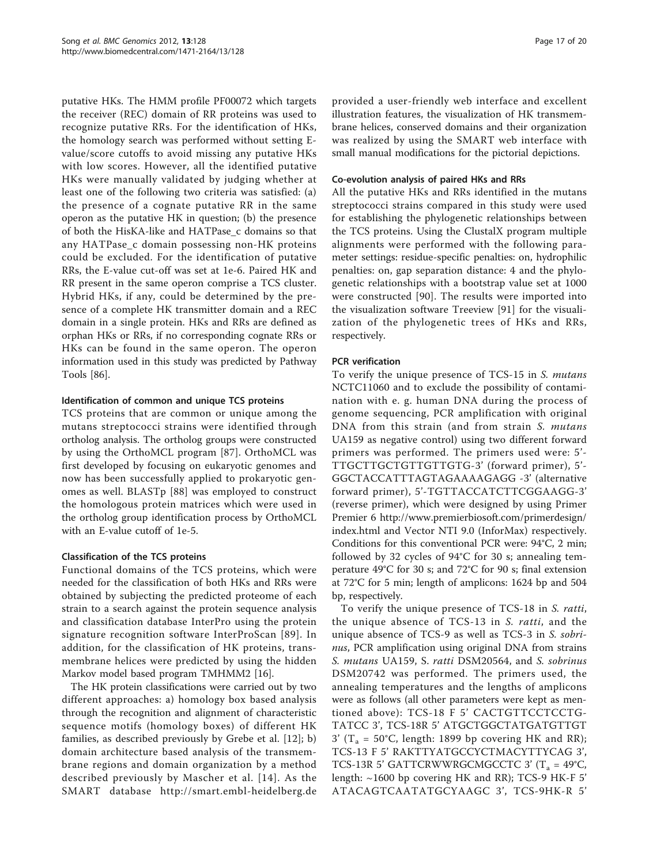putative HKs. The HMM profile PF00072 which targets the receiver (REC) domain of RR proteins was used to recognize putative RRs. For the identification of HKs, the homology search was performed without setting Evalue/score cutoffs to avoid missing any putative HKs with low scores. However, all the identified putative HKs were manually validated by judging whether at least one of the following two criteria was satisfied: (a) the presence of a cognate putative RR in the same operon as the putative HK in question; (b) the presence of both the HisKA-like and HATPase\_c domains so that any HATPase\_c domain possessing non-HK proteins could be excluded. For the identification of putative RRs, the E-value cut-off was set at 1e-6. Paired HK and RR present in the same operon comprise a TCS cluster. Hybrid HKs, if any, could be determined by the presence of a complete HK transmitter domain and a REC domain in a single protein. HKs and RRs are defined as orphan HKs or RRs, if no corresponding cognate RRs or HKs can be found in the same operon. The operon information used in this study was predicted by Pathway Tools [\[86\]](#page-19-0).

## Identification of common and unique TCS proteins

TCS proteins that are common or unique among the mutans streptococci strains were identified through ortholog analysis. The ortholog groups were constructed by using the OrthoMCL program [[87\]](#page-19-0). OrthoMCL was first developed by focusing on eukaryotic genomes and now has been successfully applied to prokaryotic genomes as well. BLASTp [\[88](#page-19-0)] was employed to construct the homologous protein matrices which were used in the ortholog group identification process by OrthoMCL with an E-value cutoff of 1e-5.

## Classification of the TCS proteins

Functional domains of the TCS proteins, which were needed for the classification of both HKs and RRs were obtained by subjecting the predicted proteome of each strain to a search against the protein sequence analysis and classification database InterPro using the protein signature recognition software InterProScan [[89\]](#page-19-0). In addition, for the classification of HK proteins, transmembrane helices were predicted by using the hidden Markov model based program TMHMM2 [[16](#page-17-0)].

The HK protein classifications were carried out by two different approaches: a) homology box based analysis through the recognition and alignment of characteristic sequence motifs (homology boxes) of different HK families, as described previously by Grebe et al. [\[12](#page-17-0)]; b) domain architecture based analysis of the transmembrane regions and domain organization by a method described previously by Mascher et al. [[14](#page-17-0)]. As the SMART database<http://smart.embl-heidelberg.de>

provided a user-friendly web interface and excellent illustration features, the visualization of HK transmembrane helices, conserved domains and their organization was realized by using the SMART web interface with small manual modifications for the pictorial depictions.

## Co-evolution analysis of paired HKs and RRs

All the putative HKs and RRs identified in the mutans streptococci strains compared in this study were used for establishing the phylogenetic relationships between the TCS proteins. Using the ClustalX program multiple alignments were performed with the following parameter settings: residue-specific penalties: on, hydrophilic penalties: on, gap separation distance: 4 and the phylogenetic relationships with a bootstrap value set at 1000 were constructed [[90](#page-19-0)]. The results were imported into the visualization software Treeview [[91\]](#page-19-0) for the visualization of the phylogenetic trees of HKs and RRs, respectively.

## PCR verification

To verify the unique presence of TCS-15 in S. mutans NCTC11060 and to exclude the possibility of contamination with e. g. human DNA during the process of genome sequencing, PCR amplification with original DNA from this strain (and from strain S. mutans UA159 as negative control) using two different forward primers was performed. The primers used were: 5'- TTGCTTGCTGTTGTTGTG-3' (forward primer), 5'- GGCTACCATTTAGTAGAAAAGAGG -3' (alternative forward primer), 5'-TGTTACCATCTTCGGAAGG-3' (reverse primer), which were designed by using Primer Premier 6 [http://www.premierbiosoft.com/primerdesign/](http://www.premierbiosoft.com/primerdesign/index.html) [index.html](http://www.premierbiosoft.com/primerdesign/index.html) and Vector NTI 9.0 (InforMax) respectively. Conditions for this conventional PCR were: 94°C, 2 min; followed by 32 cycles of 94°C for 30 s; annealing temperature 49°C for 30 s; and 72°C for 90 s; final extension at 72°C for 5 min; length of amplicons: 1624 bp and 504 bp, respectively.

To verify the unique presence of TCS-18 in S. ratti, the unique absence of TCS-13 in S. ratti, and the unique absence of TCS-9 as well as TCS-3 in S. sobrinus, PCR amplification using original DNA from strains S. mutans UA159, S. ratti DSM20564, and S. sobrinus DSM20742 was performed. The primers used, the annealing temperatures and the lengths of amplicons were as follows (all other parameters were kept as mentioned above): TCS-18 F 5' CACTGTTCCTCCTG-TATCC 3', TCS-18R 5' ATGCTGGCTATGATGTTGT  $3'(T_a = 50^{\circ}C$ , length: 1899 bp covering HK and RR); TCS-13 F 5' RAKTTYATGCCYCTMACYTTYCAG 3', TCS-13R 5' GATTCRWWRGCMGCCTC 3'  $(T_a = 49^{\circ}C,$ length: ~1600 bp covering HK and RR); TCS-9 HK-F 5' ATACAGTCAATATGCYAAGC 3', TCS-9HK-R 5'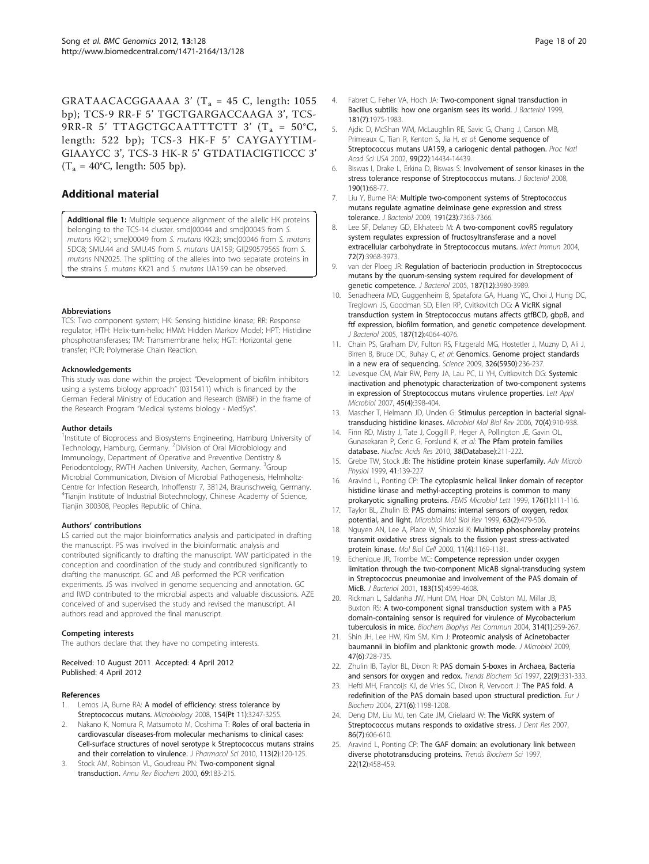<span id="page-17-0"></span>GRATAACACGGAAAA 3' ( $T_a$  = 45 C, length: 1055 bp); TCS-9 RR-F 5' TGCTGARGACCAAGA 3', TCS-9RR-R 5' TTAGCTGCAATTTCTT 3' (T<sub>a</sub> = 50°C, length: 522 bp); TCS-3 HK-F 5' CAYGAYYTIM-GIAAYCC 3', TCS-3 HK-R 5' GTDATIACIGTICCC 3'  $(T_a = 40^{\circ}C, \text{ length: } 505 \text{ bp}).$ 

#### Additional material

[Additional file 1:](http://www.biomedcentral.com/content/supplementary/1471-2164-13-128-S1.DOC) Multiple sequence alignment of the allelic HK proteins belonging to the TCS-14 cluster. smd|00044 and smd|00045 from S. mutans KK21; sme|00049 from S. mutans KK23; smc|00046 from S. mutans 5DC8; SMU.44 and SMU.45 from S. mutans UA159; GI|290579565 from S. mutans NN2025. The splitting of the alleles into two separate proteins in the strains S. mutans KK21 and S. mutans UA159 can be observed.

#### Abbreviations

TCS: Two component system; HK: Sensing histidine kinase; RR: Response regulator; HTH: Helix-turn-helix; HMM: Hidden Markov Model; HPT: Histidine phosphotransferases; TM: Transmembrane helix; HGT: Horizontal gene transfer; PCR: Polymerase Chain Reaction.

#### Acknowledgements

This study was done within the project "Development of biofilm inhibitors using a systems biology approach" (0315411) which is financed by the German Federal Ministry of Education and Research (BMBF) in the frame of the Research Program "Medical systems biology - MedSys".

#### Author details

<sup>1</sup>Institute of Bioprocess and Biosystems Engineering, Hamburg University of Technology, Hamburg, Germany. <sup>2</sup> Division of Oral Microbiology and Immunology, Department of Operative and Preventive Dentistry & Periodontology, RWTH Aachen University, Aachen, Germany. <sup>3</sup>Group Microbial Communication, Division of Microbial Pathogenesis, Helmholtz-Centre for Infection Research, Inhoffenstr 7, 38124, Braunschweig, Germany. 4 Tianjin Institute of Industrial Biotechnology, Chinese Academy of Science, Tianjin 300308, Peoples Republic of China.

#### Authors' contributions

LS carried out the major bioinformatics analysis and participated in drafting the manuscript. PS was involved in the bioinformatic analysis and contributed significantly to drafting the manuscript. WW participated in the conception and coordination of the study and contributed significantly to drafting the manuscript. GC and AB performed the PCR verification experiments. JS was involved in genome sequencing and annotation. GC and IWD contributed to the microbial aspects and valuable discussions. AZE conceived of and supervised the study and revised the manuscript. All authors read and approved the final manuscript.

#### Competing interests

The authors declare that they have no competing interests.

#### Received: 10 August 2011 Accepted: 4 April 2012 Published: 4 April 2012

#### References

- 1. Lemos JA, Burne RA: [A model of efficiency: stress tolerance by](http://www.ncbi.nlm.nih.gov/pubmed/18957579?dopt=Abstract) [Streptococcus mutans.](http://www.ncbi.nlm.nih.gov/pubmed/18957579?dopt=Abstract) Microbiology 2008, 154(Pt 11):3247-3255.
- Nakano K, Nomura R, Matsumoto M, Ooshima T: [Roles of oral bacteria in](http://www.ncbi.nlm.nih.gov/pubmed/20501965?dopt=Abstract) [cardiovascular diseases-from molecular mechanisms to clinical cases:](http://www.ncbi.nlm.nih.gov/pubmed/20501965?dopt=Abstract) [Cell-surface structures of novel serotype k Streptococcus mutans strains](http://www.ncbi.nlm.nih.gov/pubmed/20501965?dopt=Abstract) [and their correlation to virulence.](http://www.ncbi.nlm.nih.gov/pubmed/20501965?dopt=Abstract) J Pharmacol Sci 2010, 113(2):120-125.
- Stock AM, Robinson VL, Goudreau PN: [Two-component signal](http://www.ncbi.nlm.nih.gov/pubmed/10966457?dopt=Abstract) [transduction.](http://www.ncbi.nlm.nih.gov/pubmed/10966457?dopt=Abstract) Annu Rev Biochem 2000, 69:183-215.
- 4. Fabret C, Feher VA, Hoch JA: [Two-component signal transduction in](http://www.ncbi.nlm.nih.gov/pubmed/10094672?dopt=Abstract) [Bacillus subtilis: how one organism sees its world.](http://www.ncbi.nlm.nih.gov/pubmed/10094672?dopt=Abstract) J Bacteriol 1999, 181(7):1975-1983.
- 5. Ajdic D, McShan WM, McLaughlin RE, Savic G, Chang J, Carson MB, Primeaux C, Tian R, Kenton S, Jia H, et al: [Genome sequence of](http://www.ncbi.nlm.nih.gov/pubmed/12397186?dopt=Abstract) [Streptococcus mutans UA159, a cariogenic dental pathogen.](http://www.ncbi.nlm.nih.gov/pubmed/12397186?dopt=Abstract) Proc Natl Acad Sci USA 2002, 99(22):14434-14439.
- 6. Biswas I, Drake L, Erkina D, Biswas S: [Involvement of sensor kinases in the](http://www.ncbi.nlm.nih.gov/pubmed/17965153?dopt=Abstract) [stress tolerance response of Streptococcus mutans.](http://www.ncbi.nlm.nih.gov/pubmed/17965153?dopt=Abstract) J Bacteriol 2008, 190(1):68-77.
- 7. Liu Y, Burne RA: [Multiple two-component systems of Streptococcus](http://www.ncbi.nlm.nih.gov/pubmed/19783635?dopt=Abstract) [mutans regulate agmatine deiminase gene expression and stress](http://www.ncbi.nlm.nih.gov/pubmed/19783635?dopt=Abstract) [tolerance.](http://www.ncbi.nlm.nih.gov/pubmed/19783635?dopt=Abstract) J Bacteriol 2009, 191(23):7363-7366.
- 8. Lee SF, Delaney GD, Elkhateeb M: [A two-component covRS regulatory](http://www.ncbi.nlm.nih.gov/pubmed/15213141?dopt=Abstract) [system regulates expression of fructosyltransferase and a novel](http://www.ncbi.nlm.nih.gov/pubmed/15213141?dopt=Abstract) [extracellular carbohydrate in Streptococcus mutans.](http://www.ncbi.nlm.nih.gov/pubmed/15213141?dopt=Abstract) Infect Immun 2004, 72(7):3968-3973.
- 9. van der Ploeg JR: [Regulation of bacteriocin production in Streptococcus](http://www.ncbi.nlm.nih.gov/pubmed/15937160?dopt=Abstract) [mutans by the quorum-sensing system required for development of](http://www.ncbi.nlm.nih.gov/pubmed/15937160?dopt=Abstract) [genetic competence.](http://www.ncbi.nlm.nih.gov/pubmed/15937160?dopt=Abstract) J Bacteriol 2005, 187(12):3980-3989.
- 10. Senadheera MD, Guggenheim B, Spatafora GA, Huang YC, Choi J, Hung DC, Treglown JS, Goodman SD, Ellen RP, Cvitkovitch DG: [A VicRK signal](http://www.ncbi.nlm.nih.gov/pubmed/15937169?dopt=Abstract) [transduction system in Streptococcus mutans affects gtfBCD, gbpB, and](http://www.ncbi.nlm.nih.gov/pubmed/15937169?dopt=Abstract) [ftf expression, biofilm formation, and genetic competence development.](http://www.ncbi.nlm.nih.gov/pubmed/15937169?dopt=Abstract) J Bacteriol 2005, 187(12):4064-4076.
- 11. Chain PS, Grafham DV, Fulton RS, Fitzgerald MG, Hostetler J, Muzny D, Ali J, Birren B, Bruce DC, Buhay C, et al: [Genomics. Genome project standards](http://www.ncbi.nlm.nih.gov/pubmed/19815760?dopt=Abstract) [in a new era of sequencing.](http://www.ncbi.nlm.nih.gov/pubmed/19815760?dopt=Abstract) Science 2009, 326(5950):236-237.
- 12. Levesque CM, Mair RW, Perry JA, Lau PC, Li YH, Cvitkovitch DG: [Systemic](http://www.ncbi.nlm.nih.gov/pubmed/17897382?dopt=Abstract) [inactivation and phenotypic characterization of two-component systems](http://www.ncbi.nlm.nih.gov/pubmed/17897382?dopt=Abstract) [in expression of Streptococcus mutans virulence properties.](http://www.ncbi.nlm.nih.gov/pubmed/17897382?dopt=Abstract) Lett Appl Microbiol 2007, 45(4):398-404.
- 13. Mascher T, Helmann JD, Unden G: [Stimulus perception in bacterial signal](http://www.ncbi.nlm.nih.gov/pubmed/17158704?dopt=Abstract)[transducing histidine kinases.](http://www.ncbi.nlm.nih.gov/pubmed/17158704?dopt=Abstract) Microbiol Mol Biol Rev 2006, 70(4):910-938.
- 14. Finn RD, Mistry J, Tate J, Coggill P, Heger A, Pollington JE, Gavin OL, Gunasekaran P, Ceric G, Forslund K, et al: The Pfam protein families database. Nucleic Acids Res 2010, 38(Database):211-222.
- 15. Grebe TW, Stock JB: [The histidine protein kinase superfamily.](http://www.ncbi.nlm.nih.gov/pubmed/10500846?dopt=Abstract) Adv Microb Physiol 1999, 41:139-227.
- 16. Aravind L, Ponting CP: [The cytoplasmic helical linker domain of receptor](http://www.ncbi.nlm.nih.gov/pubmed/10418137?dopt=Abstract) [histidine kinase and methyl-accepting proteins is common to many](http://www.ncbi.nlm.nih.gov/pubmed/10418137?dopt=Abstract) [prokaryotic signalling proteins.](http://www.ncbi.nlm.nih.gov/pubmed/10418137?dopt=Abstract) FEMS Microbiol Lett 1999, 176(1):111-116.
- 17. Taylor BL, Zhulin IB: [PAS domains: internal sensors of oxygen, redox](http://www.ncbi.nlm.nih.gov/pubmed/10357859?dopt=Abstract) [potential, and light.](http://www.ncbi.nlm.nih.gov/pubmed/10357859?dopt=Abstract) Microbiol Mol Biol Rev 1999, 63(2):479-506.
- 18. Nguyen AN, Lee A, Place W, Shiozaki K: [Multistep phosphorelay proteins](http://www.ncbi.nlm.nih.gov/pubmed/10749922?dopt=Abstract) [transmit oxidative stress signals to the fission yeast stress-activated](http://www.ncbi.nlm.nih.gov/pubmed/10749922?dopt=Abstract) [protein kinase.](http://www.ncbi.nlm.nih.gov/pubmed/10749922?dopt=Abstract) Mol Biol Cell 2000, 11(4):1169-1181.
- 19. Echenique JR, Trombe MC: [Competence repression under oxygen](http://www.ncbi.nlm.nih.gov/pubmed/11443095?dopt=Abstract) [limitation through the two-component MicAB signal-transducing system](http://www.ncbi.nlm.nih.gov/pubmed/11443095?dopt=Abstract) [in Streptococcus pneumoniae and involvement of the PAS domain of](http://www.ncbi.nlm.nih.gov/pubmed/11443095?dopt=Abstract) [MicB.](http://www.ncbi.nlm.nih.gov/pubmed/11443095?dopt=Abstract) J Bacteriol 2001, 183(15):4599-4608.
- 20. Rickman L, Saldanha JW, Hunt DM, Hoar DN, Colston MJ, Millar JB, Buxton RS: [A two-component signal transduction system with a PAS](http://www.ncbi.nlm.nih.gov/pubmed/14715274?dopt=Abstract) [domain-containing sensor is required for virulence of Mycobacterium](http://www.ncbi.nlm.nih.gov/pubmed/14715274?dopt=Abstract) [tuberculosis in mice.](http://www.ncbi.nlm.nih.gov/pubmed/14715274?dopt=Abstract) Biochem Biophys Res Commun 2004, 314(1):259-267.
- 21. Shin JH, Lee HW, Kim SM, Kim J: [Proteomic analysis of Acinetobacter](http://www.ncbi.nlm.nih.gov/pubmed/20127467?dopt=Abstract) [baumannii in biofilm and planktonic growth mode.](http://www.ncbi.nlm.nih.gov/pubmed/20127467?dopt=Abstract) J Microbiol 2009, 47(6):728-735.
- 22. Zhulin IB, Taylor BL, Dixon R: [PAS domain S-boxes in Archaea, Bacteria](http://www.ncbi.nlm.nih.gov/pubmed/9301332?dopt=Abstract) [and sensors for oxygen and redox.](http://www.ncbi.nlm.nih.gov/pubmed/9301332?dopt=Abstract) Trends Biochem Sci 1997, 22(9):331-333.
- 23. Hefti MH, Francoijs KJ, de Vries SC, Dixon R, Vervoort J: [The PAS fold. A](http://www.ncbi.nlm.nih.gov/pubmed/15009198?dopt=Abstract) [redefinition of the PAS domain based upon structural prediction.](http://www.ncbi.nlm.nih.gov/pubmed/15009198?dopt=Abstract) Eur J Biochem 2004, 271(6):1198-1208.
- 24. Deng DM, Liu MJ, ten Cate JM, Crielaard W: [The VicRK system of](http://www.ncbi.nlm.nih.gov/pubmed/17586705?dopt=Abstract) [Streptococcus mutans responds to oxidative stress.](http://www.ncbi.nlm.nih.gov/pubmed/17586705?dopt=Abstract) J Dent Res 2007, 86(7):606-610.
- 25. Aravind L, Ponting CP: [The GAF domain: an evolutionary link between](http://www.ncbi.nlm.nih.gov/pubmed/9433123?dopt=Abstract) [diverse phototransducing proteins.](http://www.ncbi.nlm.nih.gov/pubmed/9433123?dopt=Abstract) Trends Biochem Sci 1997, 22(12):458-459.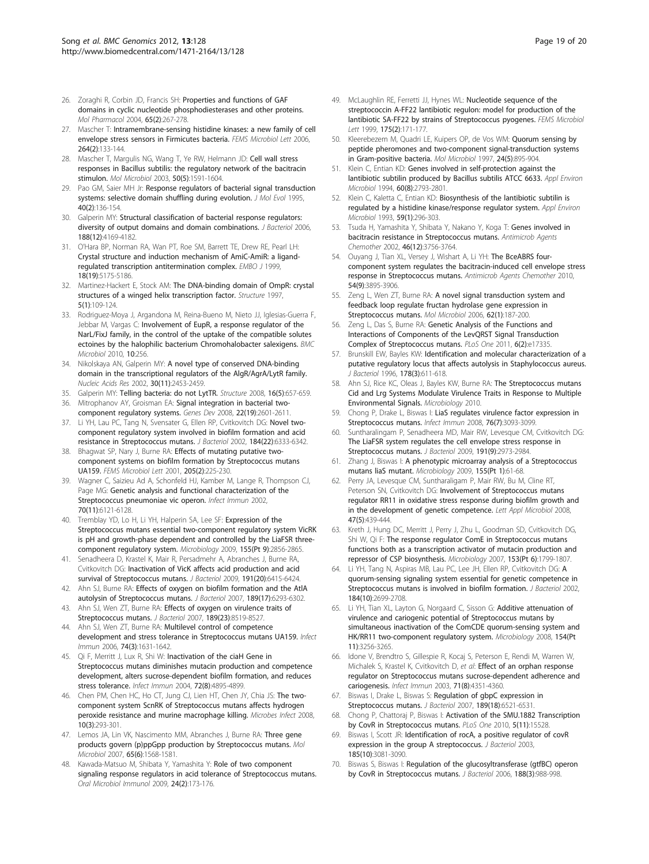- <span id="page-18-0"></span>26. Zoraghi R, Corbin JD, Francis SH: [Properties and functions of GAF](http://www.ncbi.nlm.nih.gov/pubmed/14742667?dopt=Abstract) [domains in cyclic nucleotide phosphodiesterases and other proteins.](http://www.ncbi.nlm.nih.gov/pubmed/14742667?dopt=Abstract) Mol Pharmacol 2004, 65(2):267-278.
- 27. Mascher T: [Intramembrane-sensing histidine kinases: a new family of cell](http://www.ncbi.nlm.nih.gov/pubmed/17064367?dopt=Abstract) [envelope stress sensors in Firmicutes bacteria.](http://www.ncbi.nlm.nih.gov/pubmed/17064367?dopt=Abstract) FFMS Microbiol Lett 2006, 264(2):133-144.
- 28. Mascher T, Margulis NG, Wang T, Ye RW, Helmann JD: [Cell wall stress](http://www.ncbi.nlm.nih.gov/pubmed/14651641?dopt=Abstract) [responses in Bacillus subtilis: the regulatory network of the bacitracin](http://www.ncbi.nlm.nih.gov/pubmed/14651641?dopt=Abstract) [stimulon.](http://www.ncbi.nlm.nih.gov/pubmed/14651641?dopt=Abstract) Mol Microbiol 2003, 50(5):1591-1604.
- 29. Pao GM, Saier MH Jr: [Response regulators of bacterial signal transduction](http://www.ncbi.nlm.nih.gov/pubmed/7699720?dopt=Abstract) [systems: selective domain shuffling during evolution.](http://www.ncbi.nlm.nih.gov/pubmed/7699720?dopt=Abstract) J Mol Evol 1995, 40(2):136-154.
- 30. Galperin MY: [Structural classification of bacterial response regulators:](http://www.ncbi.nlm.nih.gov/pubmed/16740923?dopt=Abstract) [diversity of output domains and domain combinations.](http://www.ncbi.nlm.nih.gov/pubmed/16740923?dopt=Abstract) J Bacteriol 2006, 188(12):4169-4182.
- 31. O'Hara BP, Norman RA, Wan PT, Roe SM, Barrett TE, Drew RE, Pearl LH: [Crystal structure and induction mechanism of AmiC-AmiR: a ligand](http://www.ncbi.nlm.nih.gov/pubmed/10508151?dopt=Abstract)[regulated transcription antitermination complex.](http://www.ncbi.nlm.nih.gov/pubmed/10508151?dopt=Abstract) EMBO J 1999, 18(19):5175-5186.
- 32. Martinez-Hackert E, Stock AM: [The DNA-binding domain of OmpR: crystal](http://www.ncbi.nlm.nih.gov/pubmed/9016718?dopt=Abstract) [structures of a winged helix transcription factor.](http://www.ncbi.nlm.nih.gov/pubmed/9016718?dopt=Abstract) Structure 1997, 5(1):109-124.
- 33. Rodriguez-Moya J, Argandona M, Reina-Bueno M, Nieto JJ, Iglesias-Guerra F, Jebbar M, Vargas C: [Involvement of EupR, a response regulator of the](http://www.ncbi.nlm.nih.gov/pubmed/20942908?dopt=Abstract) [NarL/FixJ family, in the control of the uptake of the compatible solutes](http://www.ncbi.nlm.nih.gov/pubmed/20942908?dopt=Abstract) [ectoines by the halophilic bacterium Chromohalobacter salexigens.](http://www.ncbi.nlm.nih.gov/pubmed/20942908?dopt=Abstract) BMC Microbiol 2010, 10:256.
- 34. Nikolskaya AN, Galperin MY: [A novel type of conserved DNA-binding](http://www.ncbi.nlm.nih.gov/pubmed/12034833?dopt=Abstract) [domain in the transcriptional regulators of the AlgR/AgrA/LytR family.](http://www.ncbi.nlm.nih.gov/pubmed/12034833?dopt=Abstract) Nucleic Acids Res 2002, 30(11):2453-2459.
- 35. Galperin MY: [Telling bacteria: do not LytTR.](http://www.ncbi.nlm.nih.gov/pubmed/18462668?dopt=Abstract) Structure 2008, 16(5):657-659.
- 36. Mitrophanov AY, Groisman EA: [Signal integration in bacterial two](http://www.ncbi.nlm.nih.gov/pubmed/18832064?dopt=Abstract)[component regulatory systems.](http://www.ncbi.nlm.nih.gov/pubmed/18832064?dopt=Abstract) Genes Dev 2008, 22(19):2601-2611.
- 37. Li YH, Lau PC, Tang N, Svensater G, Ellen RP, Cvitkovitch DG: [Novel two](http://www.ncbi.nlm.nih.gov/pubmed/12399503?dopt=Abstract)[component regulatory system involved in biofilm formation and acid](http://www.ncbi.nlm.nih.gov/pubmed/12399503?dopt=Abstract) [resistance in Streptococcus mutans.](http://www.ncbi.nlm.nih.gov/pubmed/12399503?dopt=Abstract) J Bacteriol 2002, 184(22):6333-6342.
- 38. Bhagwat SP, Nary J, Burne RA: [Effects of mutating putative two](http://www.ncbi.nlm.nih.gov/pubmed/11750807?dopt=Abstract)[component systems on biofilm formation by Streptococcus mutans](http://www.ncbi.nlm.nih.gov/pubmed/11750807?dopt=Abstract) [UA159.](http://www.ncbi.nlm.nih.gov/pubmed/11750807?dopt=Abstract) FEMS Microbiol Lett 2001, 205(2):225-230.
- 39. Wagner C, Saizieu Ad A, Schonfeld HJ, Kamber M, Lange R, Thompson CJ, Page MG: [Genetic analysis and functional characterization of the](http://www.ncbi.nlm.nih.gov/pubmed/12379689?dopt=Abstract) [Streptococcus pneumoniae vic operon.](http://www.ncbi.nlm.nih.gov/pubmed/12379689?dopt=Abstract) Infect Immun 2002, 70(11):6121-6128.
- 40. Tremblay YD, Lo H, Li YH, Halperin SA, Lee SF: [Expression of the](http://www.ncbi.nlm.nih.gov/pubmed/19589829?dopt=Abstract) [Streptococcus mutans essential two-component regulatory system VicRK](http://www.ncbi.nlm.nih.gov/pubmed/19589829?dopt=Abstract) [is pH and growth-phase dependent and controlled by the LiaFSR three](http://www.ncbi.nlm.nih.gov/pubmed/19589829?dopt=Abstract)[component regulatory system.](http://www.ncbi.nlm.nih.gov/pubmed/19589829?dopt=Abstract) Microbiology 2009, 155(Pt 9):2856-2865.
- 41. Senadheera D, Krastel K, Mair R, Persadmehr A, Abranches J, Burne RA, Cvitkovitch DG: [Inactivation of VicK affects acid production and acid](http://www.ncbi.nlm.nih.gov/pubmed/19684142?dopt=Abstract) [survival of Streptococcus mutans.](http://www.ncbi.nlm.nih.gov/pubmed/19684142?dopt=Abstract) J Bacteriol 2009, 191(20):6415-6424.
- 42. Ahn SJ, Burne RA: [Effects of oxygen on biofilm formation and the AtlA](http://www.ncbi.nlm.nih.gov/pubmed/17616606?dopt=Abstract) [autolysin of Streptococcus mutans.](http://www.ncbi.nlm.nih.gov/pubmed/17616606?dopt=Abstract) J Bacteriol 2007, 189(17):6293-6302.
- 43. Ahn SJ, Wen ZT, Burne RA: [Effects of oxygen on virulence traits of](http://www.ncbi.nlm.nih.gov/pubmed/17921307?dopt=Abstract) [Streptococcus mutans.](http://www.ncbi.nlm.nih.gov/pubmed/17921307?dopt=Abstract) J Bacteriol 2007, 189(23):8519-8527.
- 44. Ahn SJ, Wen ZT, Burne RA: [Multilevel control of competence](http://www.ncbi.nlm.nih.gov/pubmed/16495534?dopt=Abstract) [development and stress tolerance in Streptococcus mutans UA159.](http://www.ncbi.nlm.nih.gov/pubmed/16495534?dopt=Abstract) Infect Immun 2006, 74(3):1631-1642.
- 45. Qi F, Merritt J, Lux R, Shi W: [Inactivation of the ciaH Gene in](http://www.ncbi.nlm.nih.gov/pubmed/15271957?dopt=Abstract) [Streptococcus mutans diminishes mutacin production and competence](http://www.ncbi.nlm.nih.gov/pubmed/15271957?dopt=Abstract) [development, alters sucrose-dependent biofilm formation, and reduces](http://www.ncbi.nlm.nih.gov/pubmed/15271957?dopt=Abstract) [stress tolerance.](http://www.ncbi.nlm.nih.gov/pubmed/15271957?dopt=Abstract) Infect Immun 2004, 72(8):4895-4899.
- 46. Chen PM, Chen HC, Ho CT, Jung CJ, Lien HT, Chen JY, Chia JS: [The two](http://www.ncbi.nlm.nih.gov/pubmed/18316220?dopt=Abstract)[component system ScnRK of Streptococcus mutans affects hydrogen](http://www.ncbi.nlm.nih.gov/pubmed/18316220?dopt=Abstract) [peroxide resistance and murine macrophage killing.](http://www.ncbi.nlm.nih.gov/pubmed/18316220?dopt=Abstract) Microbes Infect 2008, 10(3):293-301.
- 47. Lemos JA, Lin VK, Nascimento MM, Abranches J, Burne RA: [Three gene](http://www.ncbi.nlm.nih.gov/pubmed/17714452?dopt=Abstract) [products govern \(p\)ppGpp production by Streptococcus mutans.](http://www.ncbi.nlm.nih.gov/pubmed/17714452?dopt=Abstract) Mol Microbiol 2007, 65(6):1568-1581.
- 48. Kawada-Matsuo M, Shibata Y, Yamashita Y: [Role of two component](http://www.ncbi.nlm.nih.gov/pubmed/19239646?dopt=Abstract) [signaling response regulators in acid tolerance of Streptococcus mutans.](http://www.ncbi.nlm.nih.gov/pubmed/19239646?dopt=Abstract) Oral Microbiol Immunol 2009, 24(2):173-176.
- 49. McLaughlin RE, Ferretti JJ, Hynes WL: [Nucleotide sequence of the](http://www.ncbi.nlm.nih.gov/pubmed/10386366?dopt=Abstract) [streptococcin A-FF22 lantibiotic regulon: model for production of the](http://www.ncbi.nlm.nih.gov/pubmed/10386366?dopt=Abstract) [lantibiotic SA-FF22 by strains of Streptococcus pyogenes.](http://www.ncbi.nlm.nih.gov/pubmed/10386366?dopt=Abstract) FEMS Microbiol Lett 1999, 175(2):171-177.
- 50. Kleerebezem M, Quadri LE, Kuipers OP, de Vos WM: [Quorum sensing by](http://www.ncbi.nlm.nih.gov/pubmed/9219998?dopt=Abstract) [peptide pheromones and two-component signal-transduction systems](http://www.ncbi.nlm.nih.gov/pubmed/9219998?dopt=Abstract) [in Gram-positive bacteria.](http://www.ncbi.nlm.nih.gov/pubmed/9219998?dopt=Abstract) Mol Microbiol 1997, 24(5):895-904.
- 51. Klein C, Entian KD: [Genes involved in self-protection against the](http://www.ncbi.nlm.nih.gov/pubmed/8085823?dopt=Abstract) [lantibiotic subtilin produced by Bacillus subtilis ATCC 6633.](http://www.ncbi.nlm.nih.gov/pubmed/8085823?dopt=Abstract) Appl Environ Microbiol 1994, 60(8):2793-2801.
- 52. Klein C, Kaletta C, Entian KD: [Biosynthesis of the lantibiotic subtilin is](http://www.ncbi.nlm.nih.gov/pubmed/8439156?dopt=Abstract) [regulated by a histidine kinase/response regulator system.](http://www.ncbi.nlm.nih.gov/pubmed/8439156?dopt=Abstract) Appl Environ Microbiol 1993, 59(1):296-303.
- 53. Tsuda H, Yamashita Y, Shibata Y, Nakano Y, Koga T: [Genes involved in](http://www.ncbi.nlm.nih.gov/pubmed/12435673?dopt=Abstract) bacitracin [resistance in Streptococcus mutans.](http://www.ncbi.nlm.nih.gov/pubmed/12435673?dopt=Abstract) Antimicrob Agents Chemother 2002, 46(12):3756-3764.
- 54. Ouyang J, Tian XL, Versey J, Wishart A, Li YH: [The BceABRS four](http://www.ncbi.nlm.nih.gov/pubmed/20606066?dopt=Abstract)[component system regulates the bacitracin-induced cell envelope stress](http://www.ncbi.nlm.nih.gov/pubmed/20606066?dopt=Abstract) [response in Streptococcus mutans.](http://www.ncbi.nlm.nih.gov/pubmed/20606066?dopt=Abstract) Antimicrob Agents Chemother 2010, 54(9):3895-3906.
- 55. Zeng L, Wen ZT, Burne RA: [A novel signal transduction system and](http://www.ncbi.nlm.nih.gov/pubmed/16987177?dopt=Abstract) [feedback loop regulate fructan hydrolase gene expression in](http://www.ncbi.nlm.nih.gov/pubmed/16987177?dopt=Abstract) [Streptococcus mutans.](http://www.ncbi.nlm.nih.gov/pubmed/16987177?dopt=Abstract) Mol Microbiol 2006, 62(1):187-200.
- 56. Zeng L, Das S, Burne RA: [Genetic Analysis of the Functions and](http://www.ncbi.nlm.nih.gov/pubmed/21364902?dopt=Abstract) [Interactions of Components of the LevQRST Signal Transduction](http://www.ncbi.nlm.nih.gov/pubmed/21364902?dopt=Abstract) [Complex of Streptococcus mutans.](http://www.ncbi.nlm.nih.gov/pubmed/21364902?dopt=Abstract) PLoS One 2011, 6(2):e17335.
- 57. Brunskill EW, Bayles KW: [Identification and molecular characterization of a](http://www.ncbi.nlm.nih.gov/pubmed/8550490?dopt=Abstract) [putative regulatory locus that affects autolysis in Staphylococcus aureus.](http://www.ncbi.nlm.nih.gov/pubmed/8550490?dopt=Abstract) J Bacteriol 1996, 178(3):611-618.
- 58. Ahn SJ, Rice KC, Oleas J, Bayles KW, Burne RA: The Streptococcus mutans Cid and Lrg Systems Modulate Virulence Traits in Response to Multiple Environmental Signals. Microbiology 2010.
- 59. Chong P, Drake L, Biswas I: [LiaS regulates virulence factor expression in](http://www.ncbi.nlm.nih.gov/pubmed/18458070?dopt=Abstract) [Streptococcus mutans.](http://www.ncbi.nlm.nih.gov/pubmed/18458070?dopt=Abstract) Infect Immun 2008, 76(7):3093-3099.
- 60. Suntharalingam P, Senadheera MD, Mair RW, Levesque CM, Cvitkovitch DG: [The LiaFSR system regulates the cell envelope stress response in](http://www.ncbi.nlm.nih.gov/pubmed/19251860?dopt=Abstract) [Streptococcus mutans.](http://www.ncbi.nlm.nih.gov/pubmed/19251860?dopt=Abstract) J Bacteriol 2009, 191(9):2973-2984.
- 61. Zhang J, Biswas I: [A phenotypic microarray analysis of a Streptococcus](http://www.ncbi.nlm.nih.gov/pubmed/19118347?dopt=Abstract) [mutans liaS mutant.](http://www.ncbi.nlm.nih.gov/pubmed/19118347?dopt=Abstract) Microbiology 2009, 155(Pt 1):61-68.
- Perry JA, Levesque CM, Suntharaligam P, Mair RW, Bu M, Cline RT, Peterson SN, Cvitkovitch DG: [Involvement of Streptococcus mutans](http://www.ncbi.nlm.nih.gov/pubmed/19146535?dopt=Abstract) [regulator RR11 in oxidative stress response during biofilm growth and](http://www.ncbi.nlm.nih.gov/pubmed/19146535?dopt=Abstract) [in the development of genetic competence.](http://www.ncbi.nlm.nih.gov/pubmed/19146535?dopt=Abstract) Lett Appl Microbiol 2008, 47(5):439-444.
- 63. Kreth J, Hung DC, Merritt J, Perry J, Zhu L, Goodman SD, Cvitkovitch DG, Shi W, Qi F: [The response regulator ComE in Streptococcus mutans](http://www.ncbi.nlm.nih.gov/pubmed/17526837?dopt=Abstract) [functions both as a transcription activator of mutacin production and](http://www.ncbi.nlm.nih.gov/pubmed/17526837?dopt=Abstract) [repressor of CSP biosynthesis.](http://www.ncbi.nlm.nih.gov/pubmed/17526837?dopt=Abstract) Microbiology 2007, 153(Pt 6):1799-1807.
- 64. Li YH, Tang N, Aspiras MB, Lau PC, Lee JH, Ellen RP, Cvitkovitch DG: [A](http://www.ncbi.nlm.nih.gov/pubmed/11976299?dopt=Abstract) [quorum-sensing signaling system essential for genetic competence in](http://www.ncbi.nlm.nih.gov/pubmed/11976299?dopt=Abstract) [Streptococcus mutans is involved in biofilm formation.](http://www.ncbi.nlm.nih.gov/pubmed/11976299?dopt=Abstract) J Bacteriol 2002, 184(10):2699-2708.
- 65. Li YH, Tian XL, Layton G, Norgaard C, Sisson G: [Additive attenuation of](http://www.ncbi.nlm.nih.gov/pubmed/18957580?dopt=Abstract) [virulence and cariogenic potential of Streptococcus mutans by](http://www.ncbi.nlm.nih.gov/pubmed/18957580?dopt=Abstract) [simultaneous inactivation of the ComCDE quorum-sensing system and](http://www.ncbi.nlm.nih.gov/pubmed/18957580?dopt=Abstract) [HK/RR11 two-component regulatory system.](http://www.ncbi.nlm.nih.gov/pubmed/18957580?dopt=Abstract) Microbiology 2008, 154(Pt 11):3256-3265.
- 66. Idone V, Brendtro S, Gillespie R, Kocaj S, Peterson E, Rendi M, Warren W, Michalek S, Krastel K, Cvitkovitch D, et al: **[Effect of an orphan response](http://www.ncbi.nlm.nih.gov/pubmed/12874312?dopt=Abstract)** [regulator on Streptococcus mutans sucrose-dependent adherence and](http://www.ncbi.nlm.nih.gov/pubmed/12874312?dopt=Abstract) [cariogenesis.](http://www.ncbi.nlm.nih.gov/pubmed/12874312?dopt=Abstract) Infect Immun 2003, 71(8):4351-4360.
- 67. Biswas I, Drake L, Biswas S: [Regulation of gbpC expression in](http://www.ncbi.nlm.nih.gov/pubmed/17616585?dopt=Abstract) [Streptococcus mutans.](http://www.ncbi.nlm.nih.gov/pubmed/17616585?dopt=Abstract) J Bacteriol 2007, 189(18):6521-6531.
- 68. Chong P, Chattoraj P, Biswas I: Activation of the SMU.1882 Transcription by CovR in Streptococcus mutans. PLoS One 2010, 5(11):15528
- 69. Biswas I, Scott JR: [Identification of rocA, a positive regulator of covR](http://www.ncbi.nlm.nih.gov/pubmed/12730168?dopt=Abstract) [expression in the group A streptococcus.](http://www.ncbi.nlm.nih.gov/pubmed/12730168?dopt=Abstract) J Bacteriol 2003, 185(10):3081-3090.
- 70. Biswas S, Biswas I: [Regulation of the glucosyltransferase \(gtfBC\) operon](http://www.ncbi.nlm.nih.gov/pubmed/16428403?dopt=Abstract) [by CovR in Streptococcus mutans.](http://www.ncbi.nlm.nih.gov/pubmed/16428403?dopt=Abstract) J Bacteriol 2006, 188(3):988-998.